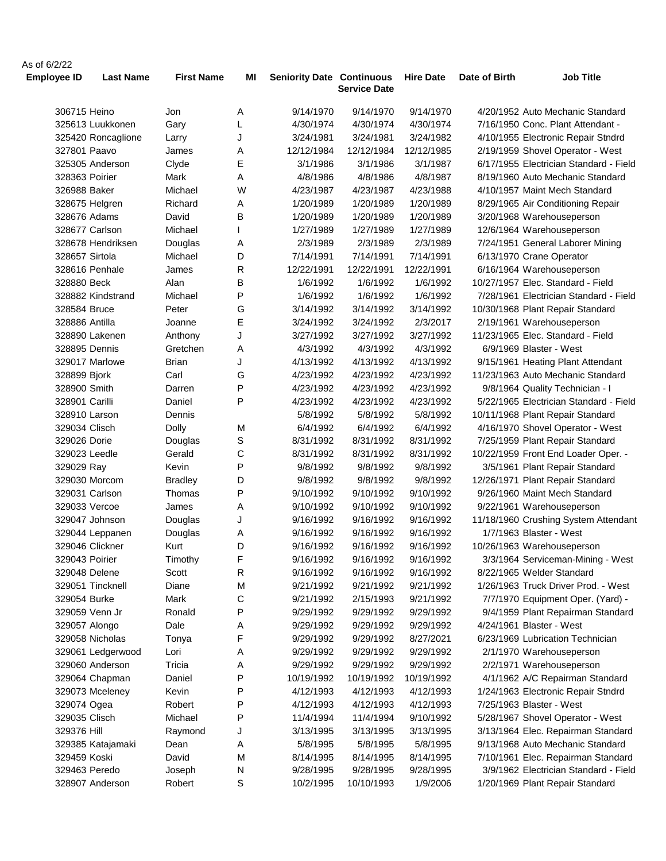| As of 6/2/22       |                    |                   |           |                                  |                     |                  |               |                                        |
|--------------------|--------------------|-------------------|-----------|----------------------------------|---------------------|------------------|---------------|----------------------------------------|
| <b>Employee ID</b> | <b>Last Name</b>   | <b>First Name</b> | MI        | <b>Seniority Date Continuous</b> | <b>Service Date</b> | <b>Hire Date</b> | Date of Birth | <b>Job Title</b>                       |
| 306715 Heino       |                    | Jon               | Α         | 9/14/1970                        | 9/14/1970           | 9/14/1970        |               | 4/20/1952 Auto Mechanic Standard       |
|                    | 325613 Luukkonen   | Gary              | L         | 4/30/1974                        | 4/30/1974           | 4/30/1974        |               | 7/16/1950 Conc. Plant Attendant -      |
|                    | 325420 Roncaglione | Larry             | J         | 3/24/1981                        | 3/24/1981           | 3/24/1982        |               | 4/10/1955 Electronic Repair Stndrd     |
| 327801 Paavo       |                    | James             | Α         | 12/12/1984                       | 12/12/1984          | 12/12/1985       |               | 2/19/1959 Shovel Operator - West       |
|                    | 325305 Anderson    | Clyde             | Е         | 3/1/1986                         | 3/1/1986            | 3/1/1987         |               | 6/17/1955 Electrician Standard - Field |
| 328363 Poirier     |                    | Mark              | Α         | 4/8/1986                         | 4/8/1986            | 4/8/1987         |               | 8/19/1960 Auto Mechanic Standard       |
| 326988 Baker       |                    | Michael           | W         | 4/23/1987                        | 4/23/1987           | 4/23/1988        |               | 4/10/1957 Maint Mech Standard          |
|                    | 328675 Helgren     | Richard           | Α         | 1/20/1989                        | 1/20/1989           | 1/20/1989        |               | 8/29/1965 Air Conditioning Repair      |
| 328676 Adams       |                    | David             | В         | 1/20/1989                        | 1/20/1989           | 1/20/1989        |               | 3/20/1968 Warehouseperson              |
|                    | 328677 Carlson     | Michael           |           | 1/27/1989                        | 1/27/1989           | 1/27/1989        |               | 12/6/1964 Warehouseperson              |
|                    | 328678 Hendriksen  | Douglas           | Α         | 2/3/1989                         | 2/3/1989            | 2/3/1989         |               | 7/24/1951 General Laborer Mining       |
| 328657 Sirtola     |                    | Michael           | D         | 7/14/1991                        | 7/14/1991           | 7/14/1991        |               | 6/13/1970 Crane Operator               |
|                    | 328616 Penhale     | James             | R         | 12/22/1991                       | 12/22/1991          | 12/22/1991       |               | 6/16/1964 Warehouseperson              |
| 328880 Beck        |                    | Alan              | B         | 1/6/1992                         | 1/6/1992            | 1/6/1992         |               | 10/27/1957 Elec. Standard - Field      |
|                    | 328882 Kindstrand  | Michael           | P         | 1/6/1992                         | 1/6/1992            | 1/6/1992         |               | 7/28/1961 Electrician Standard - Field |
| 328584 Bruce       |                    | Peter             | G         | 3/14/1992                        | 3/14/1992           | 3/14/1992        |               | 10/30/1968 Plant Repair Standard       |
| 328886 Antilla     |                    | Joanne            | Е         | 3/24/1992                        | 3/24/1992           | 2/3/2017         |               | 2/19/1961 Warehouseperson              |
|                    | 328890 Lakenen     | Anthony           | J         | 3/27/1992                        | 3/27/1992           | 3/27/1992        |               | 11/23/1965 Elec. Standard - Field      |
| 328895 Dennis      |                    | Gretchen          | Α         | 4/3/1992                         | 4/3/1992            | 4/3/1992         |               | 6/9/1969 Blaster - West                |
|                    | 329017 Marlowe     | <b>Brian</b>      | J         | 4/13/1992                        | 4/13/1992           | 4/13/1992        |               | 9/15/1961 Heating Plant Attendant      |
| 328899 Bjork       |                    | Carl              | G         | 4/23/1992                        | 4/23/1992           | 4/23/1992        |               | 11/23/1963 Auto Mechanic Standard      |
| 328900 Smith       |                    | Darren            | P         | 4/23/1992                        | 4/23/1992           | 4/23/1992        |               | 9/8/1964 Quality Technician - I        |
| 328901 Carilli     |                    | Daniel            | P         | 4/23/1992                        | 4/23/1992           | 4/23/1992        |               | 5/22/1965 Electrician Standard - Field |
| 328910 Larson      |                    | Dennis            |           | 5/8/1992                         | 5/8/1992            | 5/8/1992         |               | 10/11/1968 Plant Repair Standard       |
| 329034 Clisch      |                    | Dolly             | M         | 6/4/1992                         | 6/4/1992            | 6/4/1992         |               | 4/16/1970 Shovel Operator - West       |
| 329026 Dorie       |                    | Douglas           | S         | 8/31/1992                        | 8/31/1992           | 8/31/1992        |               | 7/25/1959 Plant Repair Standard        |
| 329023 Leedle      |                    | Gerald            | С         | 8/31/1992                        | 8/31/1992           | 8/31/1992        |               | 10/22/1959 Front End Loader Oper. -    |
| 329029 Ray         |                    | Kevin             | P         | 9/8/1992                         | 9/8/1992            | 9/8/1992         |               | 3/5/1961 Plant Repair Standard         |
|                    | 329030 Morcom      | <b>Bradley</b>    | D         | 9/8/1992                         | 9/8/1992            | 9/8/1992         |               | 12/26/1971 Plant Repair Standard       |
|                    | 329031 Carlson     | Thomas            | P         | 9/10/1992                        | 9/10/1992           | 9/10/1992        |               | 9/26/1960 Maint Mech Standard          |
| 329033 Vercoe      |                    | James             | Α         | 9/10/1992                        | 9/10/1992           | 9/10/1992        |               | 9/22/1961 Warehouseperson              |
|                    | 329047 Johnson     | Douglas           | J         | 9/16/1992                        | 9/16/1992           | 9/16/1992        |               | 11/18/1960 Crushing System Attendant   |
|                    | 329044 Leppanen    | Douglas           | Α         | 9/16/1992                        | 9/16/1992           | 9/16/1992        |               | 1/7/1963 Blaster - West                |
|                    | 329046 Clickner    | Kurt              | D         | 9/16/1992                        | 9/16/1992           | 9/16/1992        |               | 10/26/1963 Warehouseperson             |
| 329043 Poirier     |                    | Timothy           | F         | 9/16/1992                        | 9/16/1992           | 9/16/1992        |               | 3/3/1964 Serviceman-Mining - West      |
| 329048 Delene      |                    | Scott             | ${\sf R}$ | 9/16/1992                        | 9/16/1992           | 9/16/1992        |               | 8/22/1965 Welder Standard              |
|                    | 329051 Tincknell   | Diane             | M         | 9/21/1992                        | 9/21/1992           | 9/21/1992        |               | 1/26/1963 Truck Driver Prod. - West    |
| 329054 Burke       |                    | Mark              | С         | 9/21/1992                        | 2/15/1993           | 9/21/1992        |               | 7/7/1970 Equipment Oper. (Yard) -      |
|                    | 329059 Venn Jr     | Ronald            | P         | 9/29/1992                        | 9/29/1992           | 9/29/1992        |               | 9/4/1959 Plant Repairman Standard      |
| 329057 Alongo      |                    | Dale              | Α         | 9/29/1992                        | 9/29/1992           | 9/29/1992        |               | 4/24/1961 Blaster - West               |
|                    | 329058 Nicholas    | Tonya             | F         | 9/29/1992                        | 9/29/1992           | 8/27/2021        |               | 6/23/1969 Lubrication Technician       |
|                    | 329061 Ledgerwood  | Lori              | Α         | 9/29/1992                        | 9/29/1992           | 9/29/1992        |               | 2/1/1970 Warehouseperson               |
|                    | 329060 Anderson    | Tricia            | Α         | 9/29/1992                        | 9/29/1992           | 9/29/1992        |               | 2/2/1971 Warehouseperson               |
|                    | 329064 Chapman     | Daniel            | P         | 10/19/1992                       | 10/19/1992          | 10/19/1992       |               | 4/1/1962 A/C Repairman Standard        |
|                    | 329073 Mceleney    | Kevin             | P         | 4/12/1993                        | 4/12/1993           | 4/12/1993        |               | 1/24/1963 Electronic Repair Stndrd     |
| 329074 Ogea        |                    | Robert            | P         | 4/12/1993                        | 4/12/1993           | 4/12/1993        |               | 7/25/1963 Blaster - West               |
| 329035 Clisch      |                    | Michael           | P         | 11/4/1994                        | 11/4/1994           | 9/10/1992        |               | 5/28/1967 Shovel Operator - West       |
| 329376 Hill        |                    | Raymond           | J         | 3/13/1995                        | 3/13/1995           | 3/13/1995        |               | 3/13/1964 Elec. Repairman Standard     |
|                    | 329385 Katajamaki  | Dean              | Α         | 5/8/1995                         | 5/8/1995            | 5/8/1995         |               | 9/13/1968 Auto Mechanic Standard       |
| 329459 Koski       |                    | David             | M         | 8/14/1995                        | 8/14/1995           | 8/14/1995        |               | 7/10/1961 Elec. Repairman Standard     |
| 329463 Peredo      |                    | Joseph            | N         | 9/28/1995                        | 9/28/1995           | 9/28/1995        |               | 3/9/1962 Electrician Standard - Field  |
|                    | 328907 Anderson    | Robert            | S         | 10/2/1995                        | 10/10/1993          | 1/9/2006         |               | 1/20/1969 Plant Repair Standard        |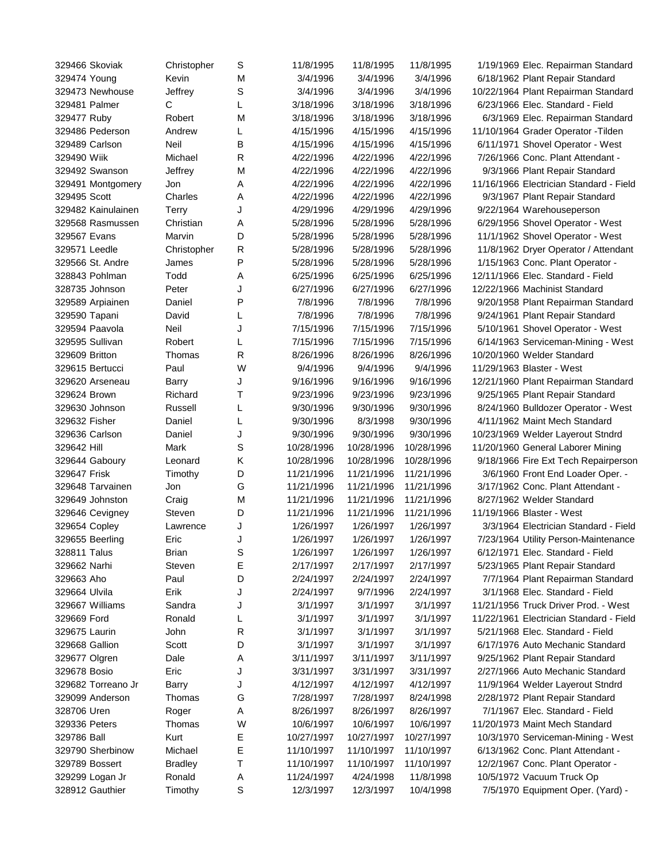| 329466 Skoviak                   | Christopher    | S      | 11/8/1995  | 11/8/1995              | 11/8/1995  | 1/19/1969 Elec. Repairman Standard      |
|----------------------------------|----------------|--------|------------|------------------------|------------|-----------------------------------------|
| 329474 Young                     | Kevin          | М      | 3/4/1996   | 3/4/1996               | 3/4/1996   | 6/18/1962 Plant Repair Standard         |
| 329473 Newhouse                  | Jeffrey        | S      | 3/4/1996   | 3/4/1996               | 3/4/1996   | 10/22/1964 Plant Repairman Standard     |
| 329481 Palmer                    | С              | L      | 3/18/1996  | 3/18/1996              | 3/18/1996  | 6/23/1966 Elec. Standard - Field        |
| 329477 Ruby                      | Robert         | M      | 3/18/1996  | 3/18/1996              | 3/18/1996  | 6/3/1969 Elec. Repairman Standard       |
| 329486 Pederson                  | Andrew         | L      | 4/15/1996  | 4/15/1996              | 4/15/1996  | 11/10/1964 Grader Operator - Tilden     |
| 329489 Carlson                   | Neil           | B      | 4/15/1996  | 4/15/1996              | 4/15/1996  | 6/11/1971 Shovel Operator - West        |
| 329490 Wiik                      | Michael        | R      | 4/22/1996  | 4/22/1996              | 4/22/1996  | 7/26/1966 Conc. Plant Attendant -       |
| 329492 Swanson                   | Jeffrey        | M      | 4/22/1996  | 4/22/1996              | 4/22/1996  | 9/3/1966 Plant Repair Standard          |
| 329491 Montgomery                | Jon            | Α      | 4/22/1996  | 4/22/1996              | 4/22/1996  | 11/16/1966 Electrician Standard - Field |
| 329495 Scott                     | Charles        | Α      | 4/22/1996  | 4/22/1996              | 4/22/1996  | 9/3/1967 Plant Repair Standard          |
| 329482 Kainulainen               | Terry          | J      | 4/29/1996  | 4/29/1996              | 4/29/1996  | 9/22/1964 Warehouseperson               |
| 329568 Rasmussen                 | Christian      | Α      | 5/28/1996  | 5/28/1996              | 5/28/1996  | 6/29/1956 Shovel Operator - West        |
| 329567 Evans                     | Marvin         | D      | 5/28/1996  | 5/28/1996              | 5/28/1996  | 11/1/1962 Shovel Operator - West        |
| 329571 Leedle                    | Christopher    | R      | 5/28/1996  | 5/28/1996              | 5/28/1996  | 11/8/1962 Dryer Operator / Attendant    |
| 329566 St. Andre                 | James          | P      | 5/28/1996  | 5/28/1996              | 5/28/1996  | 1/15/1963 Conc. Plant Operator -        |
| 328843 Pohlman                   | Todd           | Α      | 6/25/1996  | 6/25/1996              | 6/25/1996  | 12/11/1966 Elec. Standard - Field       |
| 328735 Johnson                   | Peter          | J      | 6/27/1996  | 6/27/1996              | 6/27/1996  | 12/22/1966 Machinist Standard           |
| 329589 Arpiainen                 | Daniel         | P      | 7/8/1996   | 7/8/1996               | 7/8/1996   | 9/20/1958 Plant Repairman Standard      |
| 329590 Tapani                    | David          | L      | 7/8/1996   | 7/8/1996               | 7/8/1996   | 9/24/1961 Plant Repair Standard         |
| 329594 Paavola                   | Neil           | J      | 7/15/1996  | 7/15/1996              | 7/15/1996  | 5/10/1961 Shovel Operator - West        |
| 329595 Sullivan                  | Robert         | L      | 7/15/1996  | 7/15/1996              | 7/15/1996  | 6/14/1963 Serviceman-Mining - West      |
| 329609 Britton                   | Thomas         | R      | 8/26/1996  | 8/26/1996              | 8/26/1996  | 10/20/1960 Welder Standard              |
| 329615 Bertucci                  | Paul           | W      | 9/4/1996   | 9/4/1996               | 9/4/1996   | 11/29/1963 Blaster - West               |
| 329620 Arseneau                  | Barry          | J      | 9/16/1996  | 9/16/1996              | 9/16/1996  | 12/21/1960 Plant Repairman Standard     |
| 329624 Brown                     | Richard        | Τ      | 9/23/1996  | 9/23/1996              | 9/23/1996  | 9/25/1965 Plant Repair Standard         |
| 329630 Johnson                   | Russell        | L      | 9/30/1996  | 9/30/1996              | 9/30/1996  | 8/24/1960 Bulldozer Operator - West     |
| 329632 Fisher                    | Daniel         | L      | 9/30/1996  | 8/3/1998               | 9/30/1996  | 4/11/1962 Maint Mech Standard           |
| 329636 Carlson                   | Daniel         | J      | 9/30/1996  | 9/30/1996              | 9/30/1996  | 10/23/1969 Welder Layerout Stndrd       |
| 329642 Hill                      | Mark           | S      | 10/28/1996 | 10/28/1996             | 10/28/1996 | 11/20/1960 General Laborer Mining       |
| 329644 Gaboury                   | Leonard        | Κ      | 10/28/1996 | 10/28/1996             | 10/28/1996 | 9/18/1966 Fire Ext Tech Repairperson    |
| 329647 Frisk                     | Timothy        | D      | 11/21/1996 | 11/21/1996             | 11/21/1996 | 3/6/1960 Front End Loader Oper. -       |
| 329648 Tarvainen                 | Jon            | G      | 11/21/1996 | 11/21/1996             | 11/21/1996 | 3/17/1962 Conc. Plant Attendant -       |
| 329649 Johnston                  | Craig          | M      | 11/21/1996 | 11/21/1996             | 11/21/1996 | 8/27/1962 Welder Standard               |
| 329646 Cevigney                  | Steven         | D      | 11/21/1996 | 11/21/1996             | 11/21/1996 | 11/19/1966 Blaster - West               |
|                                  | Lawrence       | J      | 1/26/1997  | 1/26/1997              | 1/26/1997  | 3/3/1964 Electrician Standard - Field   |
| 329654 Copley<br>329655 Beerling | Eric           | J      | 1/26/1997  | 1/26/1997              | 1/26/1997  | 7/23/1964 Utility Person-Maintenance    |
| 328811 Talus                     | <b>Brian</b>   |        | 1/26/1997  |                        | 1/26/1997  | 6/12/1971 Elec. Standard - Field        |
| 329662 Narhi                     | Steven         | S<br>E | 2/17/1997  | 1/26/1997<br>2/17/1997 | 2/17/1997  | 5/23/1965 Plant Repair Standard         |
| 329663 Aho                       |                |        |            |                        |            |                                         |
|                                  | Paul           | D      | 2/24/1997  | 2/24/1997              | 2/24/1997  | 7/7/1964 Plant Repairman Standard       |
| 329664 Ulvila                    | Erik           | J      | 2/24/1997  | 9/7/1996               | 2/24/1997  | 3/1/1968 Elec. Standard - Field         |
| 329667 Williams                  | Sandra         | J      | 3/1/1997   | 3/1/1997               | 3/1/1997   | 11/21/1956 Truck Driver Prod. - West    |
| 329669 Ford                      | Ronald         | L      | 3/1/1997   | 3/1/1997               | 3/1/1997   | 11/22/1961 Electrician Standard - Field |
| 329675 Laurin                    | John           | R      | 3/1/1997   | 3/1/1997               | 3/1/1997   | 5/21/1968 Elec. Standard - Field        |
| 329668 Gallion                   | Scott          | D      | 3/1/1997   | 3/1/1997               | 3/1/1997   | 6/17/1976 Auto Mechanic Standard        |
| 329677 Olgren                    | Dale           | A      | 3/11/1997  | 3/11/1997              | 3/11/1997  | 9/25/1962 Plant Repair Standard         |
| 329678 Bosio                     | Eric           | J      | 3/31/1997  | 3/31/1997              | 3/31/1997  | 2/27/1966 Auto Mechanic Standard        |
| 329682 Torreano Jr               | Barry          | J      | 4/12/1997  | 4/12/1997              | 4/12/1997  | 11/9/1964 Welder Layerout Stndrd        |
| 329099 Anderson                  | Thomas         | G      | 7/28/1997  | 7/28/1997              | 8/24/1998  | 2/28/1972 Plant Repair Standard         |
| 328706 Uren                      | Roger          | Α      | 8/26/1997  | 8/26/1997              | 8/26/1997  | 7/1/1967 Elec. Standard - Field         |
| 329336 Peters                    | Thomas         | W      | 10/6/1997  | 10/6/1997              | 10/6/1997  | 11/20/1973 Maint Mech Standard          |
| 329786 Ball                      | Kurt           | Ε      | 10/27/1997 | 10/27/1997             | 10/27/1997 | 10/3/1970 Serviceman-Mining - West      |
| 329790 Sherbinow                 | Michael        | Ε      | 11/10/1997 | 11/10/1997             | 11/10/1997 | 6/13/1962 Conc. Plant Attendant -       |
| 329789 Bossert                   | <b>Bradley</b> | Т      | 11/10/1997 | 11/10/1997             | 11/10/1997 | 12/2/1967 Conc. Plant Operator -        |
| 329299 Logan Jr                  | Ronald         | A      | 11/24/1997 | 4/24/1998              | 11/8/1998  | 10/5/1972 Vacuum Truck Op               |
| 328912 Gauthier                  | Timothy        | S      | 12/3/1997  | 12/3/1997              | 10/4/1998  | 7/5/1970 Equipment Oper. (Yard) -       |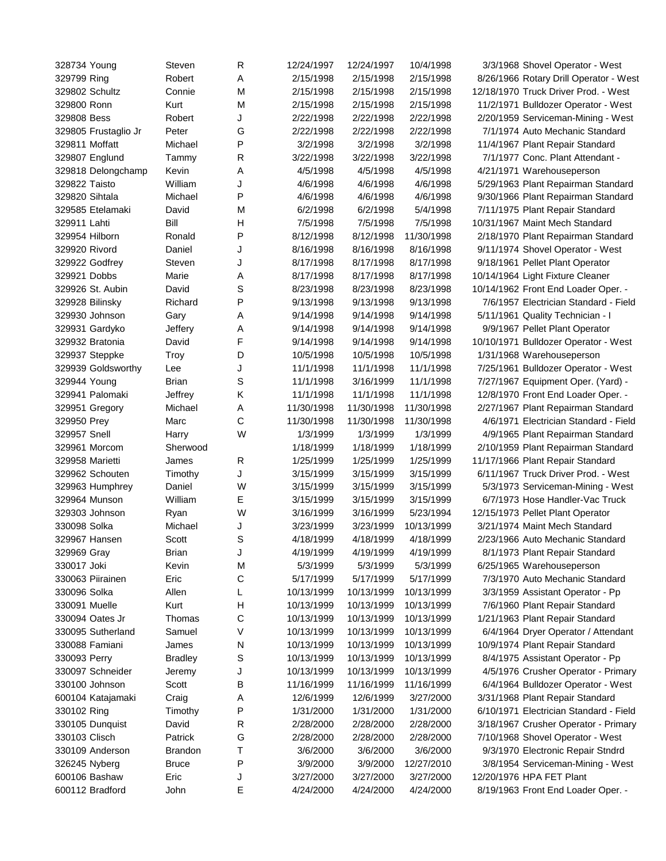| 328734 Young         | Steven         | R            | 12/24/1997 | 12/24/1997 | 10/4/1998  | 3/3/1968 Shovel Operator - West        |
|----------------------|----------------|--------------|------------|------------|------------|----------------------------------------|
| 329799 Ring          | Robert         | Α            | 2/15/1998  | 2/15/1998  | 2/15/1998  | 8/26/1966 Rotary Drill Operator - West |
| 329802 Schultz       | Connie         | M            | 2/15/1998  | 2/15/1998  | 2/15/1998  | 12/18/1970 Truck Driver Prod. - West   |
| 329800 Ronn          | Kurt           | M            | 2/15/1998  | 2/15/1998  | 2/15/1998  | 11/2/1971 Bulldozer Operator - West    |
| 329808 Bess          | Robert         | J            | 2/22/1998  | 2/22/1998  | 2/22/1998  | 2/20/1959 Serviceman-Mining - West     |
| 329805 Frustaglio Jr | Peter          | G            | 2/22/1998  | 2/22/1998  | 2/22/1998  | 7/1/1974 Auto Mechanic Standard        |
| 329811 Moffatt       | Michael        | P            | 3/2/1998   | 3/2/1998   | 3/2/1998   | 11/4/1967 Plant Repair Standard        |
| 329807 Englund       | Tammy          | $\mathsf{R}$ | 3/22/1998  | 3/22/1998  | 3/22/1998  | 7/1/1977 Conc. Plant Attendant -       |
| 329818 Delongchamp   | Kevin          | Α            | 4/5/1998   | 4/5/1998   | 4/5/1998   | 4/21/1971 Warehouseperson              |
| 329822 Taisto        | William        | J            | 4/6/1998   | 4/6/1998   | 4/6/1998   | 5/29/1963 Plant Repairman Standard     |
| 329820 Sihtala       | Michael        | P            | 4/6/1998   | 4/6/1998   | 4/6/1998   | 9/30/1966 Plant Repairman Standard     |
| 329585 Etelamaki     | David          | M            | 6/2/1998   | 6/2/1998   | 5/4/1998   | 7/11/1975 Plant Repair Standard        |
| 329911 Lahti         | Bill           | H            | 7/5/1998   | 7/5/1998   | 7/5/1998   | 10/31/1967 Maint Mech Standard         |
| 329954 Hilborn       | Ronald         | P            | 8/12/1998  | 8/12/1998  | 11/30/1998 | 2/18/1970 Plant Repairman Standard     |
| 329920 Rivord        | Daniel         | J            | 8/16/1998  | 8/16/1998  | 8/16/1998  | 9/11/1974 Shovel Operator - West       |
| 329922 Godfrey       | Steven         | J            | 8/17/1998  | 8/17/1998  | 8/17/1998  | 9/18/1961 Pellet Plant Operator        |
| 329921 Dobbs         | Marie          | Α            | 8/17/1998  | 8/17/1998  | 8/17/1998  | 10/14/1964 Light Fixture Cleaner       |
| 329926 St. Aubin     | David          | S            | 8/23/1998  | 8/23/1998  | 8/23/1998  | 10/14/1962 Front End Loader Oper. -    |
| 329928 Bilinsky      | Richard        | P            | 9/13/1998  | 9/13/1998  | 9/13/1998  | 7/6/1957 Electrician Standard - Field  |
| 329930 Johnson       | Gary           | Α            | 9/14/1998  | 9/14/1998  | 9/14/1998  | 5/11/1961 Quality Technician - I       |
| 329931 Gardyko       | Jeffery        | Α            | 9/14/1998  | 9/14/1998  | 9/14/1998  | 9/9/1967 Pellet Plant Operator         |
| 329932 Bratonia      | David          | F            | 9/14/1998  | 9/14/1998  | 9/14/1998  | 10/10/1971 Bulldozer Operator - West   |
| 329937 Steppke       | Troy           | D            | 10/5/1998  | 10/5/1998  | 10/5/1998  | 1/31/1968 Warehouseperson              |
| 329939 Goldsworthy   | Lee            | J            | 11/1/1998  | 11/1/1998  | 11/1/1998  | 7/25/1961 Bulldozer Operator - West    |
| 329944 Young         | Brian          | S            | 11/1/1998  | 3/16/1999  | 11/1/1998  | 7/27/1967 Equipment Oper. (Yard) -     |
| 329941 Palomaki      | Jeffrey        | Κ            | 11/1/1998  | 11/1/1998  | 11/1/1998  | 12/8/1970 Front End Loader Oper. -     |
| 329951 Gregory       | Michael        | Α            | 11/30/1998 | 11/30/1998 | 11/30/1998 | 2/27/1967 Plant Repairman Standard     |
| 329950 Prey          | Marc           | $\mathsf{C}$ | 11/30/1998 | 11/30/1998 | 11/30/1998 | 4/6/1971 Electrician Standard - Field  |
| 329957 Snell         | Harry          | W            | 1/3/1999   | 1/3/1999   | 1/3/1999   | 4/9/1965 Plant Repairman Standard      |
| 329961 Morcom        | Sherwood       |              | 1/18/1999  | 1/18/1999  | 1/18/1999  | 2/10/1959 Plant Repairman Standard     |
| 329958 Marietti      | James          | R            | 1/25/1999  | 1/25/1999  | 1/25/1999  | 11/17/1966 Plant Repair Standard       |
| 329962 Schouten      | Timothy        | J            | 3/15/1999  | 3/15/1999  | 3/15/1999  | 6/11/1967 Truck Driver Prod. - West    |
| 329963 Humphrey      | Daniel         | W            | 3/15/1999  | 3/15/1999  | 3/15/1999  | 5/3/1973 Serviceman-Mining - West      |
| 329964 Munson        | William        | Е            | 3/15/1999  | 3/15/1999  | 3/15/1999  | 6/7/1973 Hose Handler-Vac Truck        |
| 329303 Johnson       | Ryan           | W            | 3/16/1999  | 3/16/1999  | 5/23/1994  | 12/15/1973 Pellet Plant Operator       |
| 330098 Solka         | Michael        | J            | 3/23/1999  | 3/23/1999  | 10/13/1999 | 3/21/1974 Maint Mech Standard          |
| 329967 Hansen        | Scott          | S            | 4/18/1999  | 4/18/1999  | 4/18/1999  | 2/23/1966 Auto Mechanic Standard       |
| 329969 Gray          | <b>Brian</b>   | J            | 4/19/1999  | 4/19/1999  | 4/19/1999  | 8/1/1973 Plant Repair Standard         |
| 330017 Joki          | Kevin          | M            | 5/3/1999   | 5/3/1999   | 5/3/1999   | 6/25/1965 Warehouseperson              |
| 330063 Piirainen     | Eric           | $\mathsf C$  | 5/17/1999  | 5/17/1999  | 5/17/1999  | 7/3/1970 Auto Mechanic Standard        |
| 330096 Solka         | Allen          | L            | 10/13/1999 | 10/13/1999 | 10/13/1999 | 3/3/1959 Assistant Operator - Pp       |
| 330091 Muelle        | Kurt           | H            | 10/13/1999 | 10/13/1999 | 10/13/1999 | 7/6/1960 Plant Repair Standard         |
| 330094 Oates Jr      | Thomas         | $\mathsf C$  | 10/13/1999 | 10/13/1999 | 10/13/1999 | 1/21/1963 Plant Repair Standard        |
| 330095 Sutherland    | Samuel         | V            | 10/13/1999 | 10/13/1999 | 10/13/1999 | 6/4/1964 Dryer Operator / Attendant    |
| 330088 Famiani       | James          | N            | 10/13/1999 | 10/13/1999 | 10/13/1999 | 10/9/1974 Plant Repair Standard        |
| 330093 Perry         | <b>Bradley</b> | $\mathbb S$  | 10/13/1999 | 10/13/1999 | 10/13/1999 | 8/4/1975 Assistant Operator - Pp       |
| 330097 Schneider     | Jeremy         | J            | 10/13/1999 | 10/13/1999 | 10/13/1999 | 4/5/1976 Crusher Operator - Primary    |
| 330100 Johnson       | Scott          | B            | 11/16/1999 | 11/16/1999 | 11/16/1999 | 6/4/1964 Bulldozer Operator - West     |
| 600104 Katajamaki    | Craig          | A            | 12/6/1999  | 12/6/1999  | 3/27/2000  | 3/31/1968 Plant Repair Standard        |
| 330102 Ring          | Timothy        | Ρ            | 1/31/2000  | 1/31/2000  | 1/31/2000  | 6/10/1971 Electrician Standard - Field |
| 330105 Dunquist      | David          | $\mathsf{R}$ | 2/28/2000  | 2/28/2000  | 2/28/2000  | 3/18/1967 Crusher Operator - Primary   |
| 330103 Clisch        | Patrick        | G            | 2/28/2000  | 2/28/2000  | 2/28/2000  | 7/10/1968 Shovel Operator - West       |
| 330109 Anderson      | <b>Brandon</b> | Τ            | 3/6/2000   | 3/6/2000   | 3/6/2000   | 9/3/1970 Electronic Repair Stndrd      |
| 326245 Nyberg        | <b>Bruce</b>   | P            | 3/9/2000   | 3/9/2000   | 12/27/2010 | 3/8/1954 Serviceman-Mining - West      |
| 600106 Bashaw        | Eric           | J            | 3/27/2000  | 3/27/2000  | 3/27/2000  | 12/20/1976 HPA FET Plant               |
| 600112 Bradford      | John           | Ε            | 4/24/2000  | 4/24/2000  | 4/24/2000  | 8/19/1963 Front End Loader Oper. -     |
|                      |                |              |            |            |            |                                        |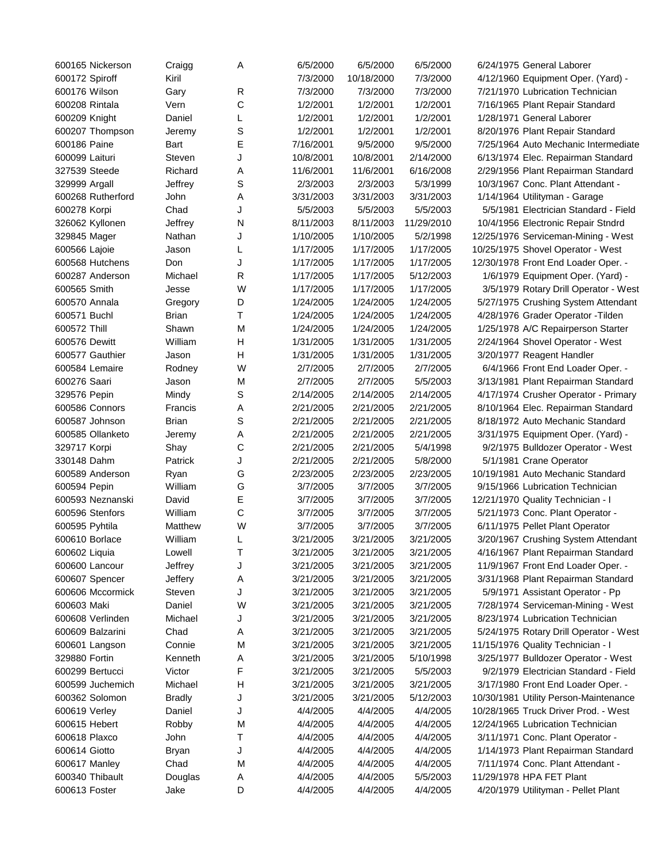| 600165 Nickerson  | Craigg        | Α           | 6/5/2000  | 6/5/2000   | 6/5/2000   | 6/24/1975 General Laborer              |
|-------------------|---------------|-------------|-----------|------------|------------|----------------------------------------|
| 600172 Spiroff    | Kiril         |             | 7/3/2000  | 10/18/2000 | 7/3/2000   | 4/12/1960 Equipment Oper. (Yard) -     |
| 600176 Wilson     | Gary          | R           | 7/3/2000  | 7/3/2000   | 7/3/2000   | 7/21/1970 Lubrication Technician       |
| 600208 Rintala    | Vern          | C           | 1/2/2001  | 1/2/2001   | 1/2/2001   | 7/16/1965 Plant Repair Standard        |
| 600209 Knight     | Daniel        | L           | 1/2/2001  | 1/2/2001   | 1/2/2001   | 1/28/1971 General Laborer              |
| 600207 Thompson   | Jeremy        | $\mathbb S$ | 1/2/2001  | 1/2/2001   | 1/2/2001   | 8/20/1976 Plant Repair Standard        |
| 600186 Paine      | Bart          | Ε           | 7/16/2001 | 9/5/2000   | 9/5/2000   | 7/25/1964 Auto Mechanic Intermediate   |
| 600099 Laituri    | Steven        | J           | 10/8/2001 | 10/8/2001  | 2/14/2000  | 6/13/1974 Elec. Repairman Standard     |
| 327539 Steede     | Richard       | Α           | 11/6/2001 | 11/6/2001  | 6/16/2008  | 2/29/1956 Plant Repairman Standard     |
| 329999 Argall     | Jeffrey       | $\mathbb S$ | 2/3/2003  | 2/3/2003   | 5/3/1999   | 10/3/1967 Conc. Plant Attendant -      |
| 600268 Rutherford | John          | Α           | 3/31/2003 | 3/31/2003  | 3/31/2003  | 1/14/1964 Utilityman - Garage          |
| 600278 Korpi      | Chad          | J           | 5/5/2003  | 5/5/2003   | 5/5/2003   | 5/5/1981 Electrician Standard - Field  |
| 326062 Kyllonen   | Jeffrey       | N           | 8/11/2003 | 8/11/2003  | 11/29/2010 | 10/4/1956 Electronic Repair Stndrd     |
| 329845 Mager      | Nathan        | J           | 1/10/2005 | 1/10/2005  | 5/2/1998   | 12/25/1976 Serviceman-Mining - West    |
| 600566 Lajoie     | Jason         | L           | 1/17/2005 | 1/17/2005  | 1/17/2005  | 10/25/1975 Shovel Operator - West      |
| 600568 Hutchens   | Don           | J           | 1/17/2005 | 1/17/2005  | 1/17/2005  | 12/30/1978 Front End Loader Oper. -    |
| 600287 Anderson   | Michael       | R           | 1/17/2005 | 1/17/2005  | 5/12/2003  | 1/6/1979 Equipment Oper. (Yard) -      |
| 600565 Smith      |               | W           | 1/17/2005 | 1/17/2005  | 1/17/2005  |                                        |
| 600570 Annala     | Jesse         |             |           | 1/24/2005  |            | 3/5/1979 Rotary Drill Operator - West  |
|                   | Gregory       | D           | 1/24/2005 |            | 1/24/2005  | 5/27/1975 Crushing System Attendant    |
| 600571 Buchl      | Brian         | т           | 1/24/2005 | 1/24/2005  | 1/24/2005  | 4/28/1976 Grader Operator - Tilden     |
| 600572 Thill      | Shawn         | M           | 1/24/2005 | 1/24/2005  | 1/24/2005  | 1/25/1978 A/C Repairperson Starter     |
| 600576 Dewitt     | William       | Н           | 1/31/2005 | 1/31/2005  | 1/31/2005  | 2/24/1964 Shovel Operator - West       |
| 600577 Gauthier   | Jason         | Н           | 1/31/2005 | 1/31/2005  | 1/31/2005  | 3/20/1977 Reagent Handler              |
| 600584 Lemaire    | Rodney        | W           | 2/7/2005  | 2/7/2005   | 2/7/2005   | 6/4/1966 Front End Loader Oper. -      |
| 600276 Saari      | Jason         | M           | 2/7/2005  | 2/7/2005   | 5/5/2003   | 3/13/1981 Plant Repairman Standard     |
| 329576 Pepin      | Mindy         | S           | 2/14/2005 | 2/14/2005  | 2/14/2005  | 4/17/1974 Crusher Operator - Primary   |
| 600586 Connors    | Francis       | Α           | 2/21/2005 | 2/21/2005  | 2/21/2005  | 8/10/1964 Elec. Repairman Standard     |
| 600587 Johnson    | Brian         | S           | 2/21/2005 | 2/21/2005  | 2/21/2005  | 8/18/1972 Auto Mechanic Standard       |
| 600585 Ollanketo  | Jeremy        | Α           | 2/21/2005 | 2/21/2005  | 2/21/2005  | 3/31/1975 Equipment Oper. (Yard) -     |
| 329717 Korpi      | Shay          | $\mathsf C$ | 2/21/2005 | 2/21/2005  | 5/4/1998   | 9/2/1975 Bulldozer Operator - West     |
| 330148 Dahm       | Patrick       | J           | 2/21/2005 | 2/21/2005  | 5/8/2000   | 5/1/1981 Crane Operator                |
| 600589 Anderson   | Ryan          | G           | 2/23/2005 | 2/23/2005  | 2/23/2005  | 10/19/1981 Auto Mechanic Standard      |
| 600594 Pepin      | William       | G           | 3/7/2005  | 3/7/2005   | 3/7/2005   | 9/15/1966 Lubrication Technician       |
| 600593 Neznanski  | David         | Е           | 3/7/2005  | 3/7/2005   | 3/7/2005   | 12/21/1970 Quality Technician - I      |
| 600596 Stenfors   | William       | C           | 3/7/2005  | 3/7/2005   | 3/7/2005   | 5/21/1973 Conc. Plant Operator -       |
| 600595 Pyhtila    | Matthew       | W           | 3/7/2005  | 3/7/2005   | 3/7/2005   | 6/11/1975 Pellet Plant Operator        |
| 600610 Borlace    | William       | L           | 3/21/2005 | 3/21/2005  | 3/21/2005  | 3/20/1967 Crushing System Attendant    |
| 600602 Liquia     | Lowell        | Т           | 3/21/2005 | 3/21/2005  | 3/21/2005  | 4/16/1967 Plant Repairman Standard     |
| 600600 Lancour    | Jeffrey       | J           | 3/21/2005 | 3/21/2005  | 3/21/2005  | 11/9/1967 Front End Loader Oper. -     |
| 600607 Spencer    | Jeffery       | Α           | 3/21/2005 | 3/21/2005  | 3/21/2005  | 3/31/1968 Plant Repairman Standard     |
| 600606 Mccormick  | Steven        | J           | 3/21/2005 | 3/21/2005  | 3/21/2005  | 5/9/1971 Assistant Operator - Pp       |
| 600603 Maki       | Daniel        | W           | 3/21/2005 | 3/21/2005  | 3/21/2005  | 7/28/1974 Serviceman-Mining - West     |
| 600608 Verlinden  | Michael       | J           | 3/21/2005 | 3/21/2005  | 3/21/2005  | 8/23/1974 Lubrication Technician       |
| 600609 Balzarini  | Chad          | Α           | 3/21/2005 | 3/21/2005  | 3/21/2005  | 5/24/1975 Rotary Drill Operator - West |
| 600601 Langson    | Connie        | M           | 3/21/2005 | 3/21/2005  | 3/21/2005  | 11/15/1976 Quality Technician - I      |
| 329880 Fortin     | Kenneth       | Α           | 3/21/2005 | 3/21/2005  | 5/10/1998  | 3/25/1977 Bulldozer Operator - West    |
| 600299 Bertucci   | Victor        | F           | 3/21/2005 | 3/21/2005  | 5/5/2003   | 9/2/1979 Electrician Standard - Field  |
| 600599 Juchemich  | Michael       | H           | 3/21/2005 | 3/21/2005  | 3/21/2005  | 3/17/1980 Front End Loader Oper. -     |
| 600362 Solomon    | <b>Bradly</b> | J           | 3/21/2005 | 3/21/2005  | 5/12/2003  | 10/30/1981 Utility Person-Maintenance  |
| 600619 Verley     | Daniel        | J           | 4/4/2005  | 4/4/2005   | 4/4/2005   | 10/28/1965 Truck Driver Prod. - West   |
| 600615 Hebert     | Robby         | M           | 4/4/2005  | 4/4/2005   | 4/4/2005   | 12/24/1965 Lubrication Technician      |
| 600618 Plaxco     | John          | т           | 4/4/2005  | 4/4/2005   | 4/4/2005   | 3/11/1971 Conc. Plant Operator -       |
| 600614 Giotto     | <b>Bryan</b>  | J           | 4/4/2005  | 4/4/2005   | 4/4/2005   | 1/14/1973 Plant Repairman Standard     |
| 600617 Manley     | Chad          | M           | 4/4/2005  | 4/4/2005   | 4/4/2005   | 7/11/1974 Conc. Plant Attendant -      |
| 600340 Thibault   | Douglas       | A           | 4/4/2005  | 4/4/2005   | 5/5/2003   | 11/29/1978 HPA FET Plant               |
| 600613 Foster     | Jake          | D           | 4/4/2005  | 4/4/2005   | 4/4/2005   | 4/20/1979 Utilityman - Pellet Plant    |
|                   |               |             |           |            |            |                                        |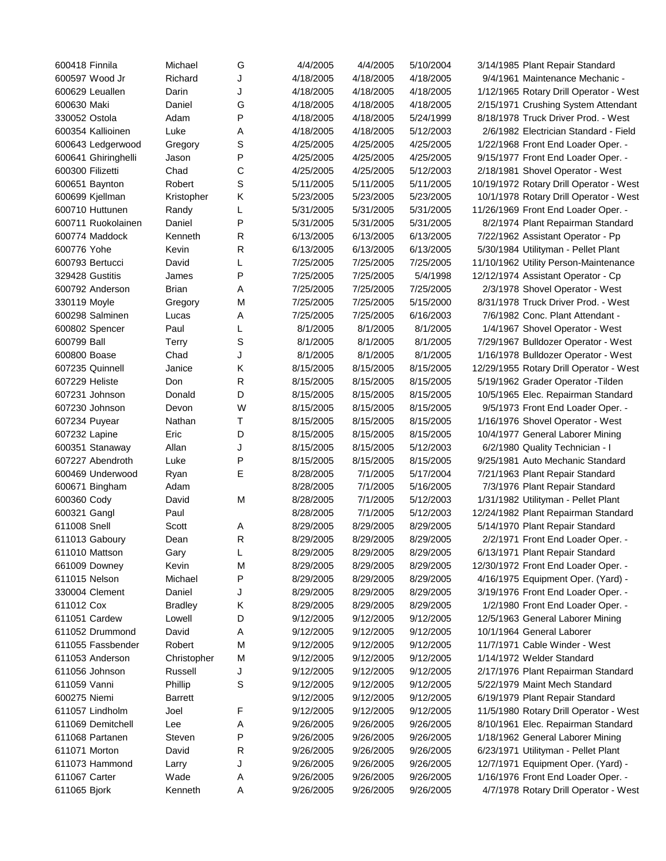| 600418 Finnila                     | Michael        | G           | 4/4/2005               | 4/4/2005  | 5/10/2004 | 3/14/1985 Plant Repair Standard         |
|------------------------------------|----------------|-------------|------------------------|-----------|-----------|-----------------------------------------|
| 600597 Wood Jr                     | Richard        | J           | 4/18/2005              | 4/18/2005 | 4/18/2005 | 9/4/1961 Maintenance Mechanic -         |
| 600629 Leuallen                    | Darin          | J           | 4/18/2005              | 4/18/2005 | 4/18/2005 | 1/12/1965 Rotary Drill Operator - West  |
| 600630 Maki                        | Daniel         | G           | 4/18/2005              | 4/18/2005 | 4/18/2005 | 2/15/1971 Crushing System Attendant     |
| 330052 Ostola                      | Adam           | P           | 4/18/2005              | 4/18/2005 | 5/24/1999 | 8/18/1978 Truck Driver Prod. - West     |
| 600354 Kallioinen                  | Luke           | Α           | 4/18/2005              | 4/18/2005 | 5/12/2003 | 2/6/1982 Electrician Standard - Field   |
| 600643 Ledgerwood                  | Gregory        | S           | 4/25/2005              | 4/25/2005 | 4/25/2005 | 1/22/1968 Front End Loader Oper. -      |
| 600641 Ghiringhelli                | Jason          | P           | 4/25/2005              | 4/25/2005 | 4/25/2005 | 9/15/1977 Front End Loader Oper. -      |
| 600300 Filizetti                   | Chad           | $\mathsf C$ | 4/25/2005              | 4/25/2005 | 5/12/2003 | 2/18/1981 Shovel Operator - West        |
| 600651 Baynton                     | Robert         | S           | 5/11/2005              | 5/11/2005 | 5/11/2005 | 10/19/1972 Rotary Drill Operator - West |
| 600699 Kjellman                    | Kristopher     | Κ           | 5/23/2005              | 5/23/2005 | 5/23/2005 | 10/1/1978 Rotary Drill Operator - West  |
| 600710 Huttunen                    | Randy          | L           | 5/31/2005              | 5/31/2005 | 5/31/2005 | 11/26/1969 Front End Loader Oper. -     |
| 600711 Ruokolainen                 | Daniel         | P           | 5/31/2005              | 5/31/2005 | 5/31/2005 | 8/2/1974 Plant Repairman Standard       |
| 600774 Maddock                     | Kenneth        | R           | 6/13/2005              | 6/13/2005 | 6/13/2005 | 7/22/1962 Assistant Operator - Pp       |
| 600776 Yohe                        | Kevin          | R           | 6/13/2005              | 6/13/2005 | 6/13/2005 |                                         |
|                                    | David          | L           |                        | 7/25/2005 | 7/25/2005 | 5/30/1984 Utilityman - Pellet Plant     |
| 600793 Bertucci<br>329428 Gustitis |                | P           | 7/25/2005              | 7/25/2005 |           | 11/10/1962 Utility Person-Maintenance   |
|                                    | James          |             | 7/25/2005<br>7/25/2005 | 7/25/2005 | 5/4/1998  | 12/12/1974 Assistant Operator - Cp      |
| 600792 Anderson                    | Brian          | Α           |                        |           | 7/25/2005 | 2/3/1978 Shovel Operator - West         |
| 330119 Moyle                       | Gregory        | M           | 7/25/2005              | 7/25/2005 | 5/15/2000 | 8/31/1978 Truck Driver Prod. - West     |
| 600298 Salminen                    | Lucas          | Α           | 7/25/2005              | 7/25/2005 | 6/16/2003 | 7/6/1982 Conc. Plant Attendant -        |
| 600802 Spencer                     | Paul           | L           | 8/1/2005               | 8/1/2005  | 8/1/2005  | 1/4/1967 Shovel Operator - West         |
| 600799 Ball                        | Terry          | S           | 8/1/2005               | 8/1/2005  | 8/1/2005  | 7/29/1967 Bulldozer Operator - West     |
| 600800 Boase                       | Chad           | J           | 8/1/2005               | 8/1/2005  | 8/1/2005  | 1/16/1978 Bulldozer Operator - West     |
| 607235 Quinnell                    | Janice         | Κ           | 8/15/2005              | 8/15/2005 | 8/15/2005 | 12/29/1955 Rotary Drill Operator - West |
| 607229 Heliste                     | Don            | R           | 8/15/2005              | 8/15/2005 | 8/15/2005 | 5/19/1962 Grader Operator - Tilden      |
| 607231 Johnson                     | Donald         | D           | 8/15/2005              | 8/15/2005 | 8/15/2005 | 10/5/1965 Elec. Repairman Standard      |
| 607230 Johnson                     | Devon          | W           | 8/15/2005              | 8/15/2005 | 8/15/2005 | 9/5/1973 Front End Loader Oper. -       |
| 607234 Puyear                      | Nathan         | Т           | 8/15/2005              | 8/15/2005 | 8/15/2005 | 1/16/1976 Shovel Operator - West        |
| 607232 Lapine                      | Eric           | D           | 8/15/2005              | 8/15/2005 | 8/15/2005 | 10/4/1977 General Laborer Mining        |
| 600351 Stanaway                    | Allan          | J           | 8/15/2005              | 8/15/2005 | 5/12/2003 | 6/2/1980 Quality Technician - I         |
| 607227 Abendroth                   | Luke           | P           | 8/15/2005              | 8/15/2005 | 8/15/2005 | 9/25/1981 Auto Mechanic Standard        |
| 600469 Underwood                   | Ryan           | E           | 8/28/2005              | 7/1/2005  | 5/17/2004 | 7/21/1963 Plant Repair Standard         |
| 600671 Bingham                     | Adam           |             | 8/28/2005              | 7/1/2005  | 5/16/2005 | 7/3/1976 Plant Repair Standard          |
| 600360 Cody                        | David          | M           | 8/28/2005              | 7/1/2005  | 5/12/2003 | 1/31/1982 Utilityman - Pellet Plant     |
| 600321 Gangl                       | Paul           |             | 8/28/2005              | 7/1/2005  | 5/12/2003 | 12/24/1982 Plant Repairman Standard     |
| 611008 Snell                       | Scott          | A           | 8/29/2005              | 8/29/2005 | 8/29/2005 | 5/14/1970 Plant Repair Standard         |
| 611013 Gaboury                     | Dean           | R           | 8/29/2005              | 8/29/2005 | 8/29/2005 | 2/2/1971 Front End Loader Oper. -       |
| 611010 Mattson                     | Gary           | L           | 8/29/2005              | 8/29/2005 | 8/29/2005 | 6/13/1971 Plant Repair Standard         |
| 661009 Downey                      | Kevin          | M           | 8/29/2005              | 8/29/2005 | 8/29/2005 | 12/30/1972 Front End Loader Oper. -     |
| 611015 Nelson                      | Michael        | P           | 8/29/2005              | 8/29/2005 | 8/29/2005 | 4/16/1975 Equipment Oper. (Yard) -      |
| 330004 Clement                     | Daniel         | J           | 8/29/2005              | 8/29/2005 | 8/29/2005 | 3/19/1976 Front End Loader Oper. -      |
| 611012 Cox                         | <b>Bradley</b> | κ           | 8/29/2005              | 8/29/2005 | 8/29/2005 | 1/2/1980 Front End Loader Oper. -       |
| 611051 Cardew                      | Lowell         | D           | 9/12/2005              | 9/12/2005 | 9/12/2005 | 12/5/1963 General Laborer Mining        |
| 611052 Drummond                    | David          | Α           | 9/12/2005              | 9/12/2005 | 9/12/2005 | 10/1/1964 General Laborer               |
| 611055 Fassbender                  | Robert         | M           | 9/12/2005              | 9/12/2005 | 9/12/2005 | 11/7/1971 Cable Winder - West           |
| 611053 Anderson                    | Christopher    | M           | 9/12/2005              | 9/12/2005 | 9/12/2005 | 1/14/1972 Welder Standard               |
| 611056 Johnson                     | Russell        | J           | 9/12/2005              | 9/12/2005 | 9/12/2005 | 2/17/1976 Plant Repairman Standard      |
| 611059 Vanni                       | Phillip        | S           | 9/12/2005              | 9/12/2005 | 9/12/2005 | 5/22/1979 Maint Mech Standard           |
| 600275 Niemi                       | <b>Barrett</b> |             | 9/12/2005              | 9/12/2005 | 9/12/2005 | 6/19/1979 Plant Repair Standard         |
| 611057 Lindholm                    | Joel           | F           | 9/12/2005              | 9/12/2005 | 9/12/2005 | 11/5/1980 Rotary Drill Operator - West  |
| 611069 Demitchell                  | Lee            | Α           | 9/26/2005              | 9/26/2005 | 9/26/2005 | 8/10/1961 Elec. Repairman Standard      |
| 611068 Partanen                    | Steven         | P           | 9/26/2005              | 9/26/2005 | 9/26/2005 | 1/18/1962 General Laborer Mining        |
| 611071 Morton                      | David          | R           | 9/26/2005              | 9/26/2005 | 9/26/2005 | 6/23/1971 Utilityman - Pellet Plant     |
| 611073 Hammond                     | Larry          | J           | 9/26/2005              | 9/26/2005 | 9/26/2005 | 12/7/1971 Equipment Oper. (Yard) -      |
|                                    |                |             |                        |           |           |                                         |
| 611067 Carter                      | Wade           | Α           | 9/26/2005              | 9/26/2005 | 9/26/2005 | 1/16/1976 Front End Loader Oper. -      |
| 611065 Bjork                       | Kenneth        | Α           | 9/26/2005              | 9/26/2005 | 9/26/2005 | 4/7/1978 Rotary Drill Operator - West   |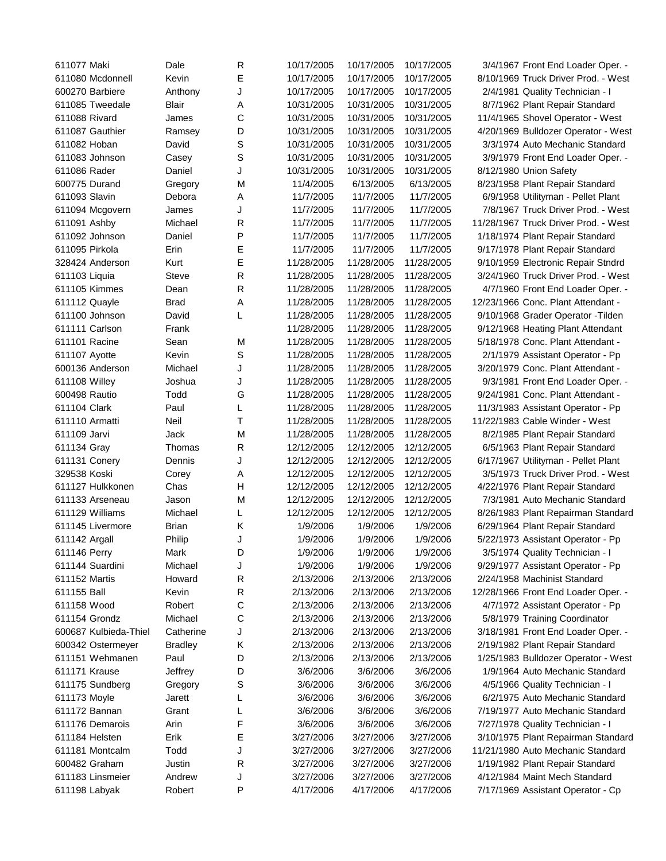| 611077 Maki           | Dale           | R            | 10/17/2005 | 10/17/2005 | 10/17/2005 | 3/4/1967 Front End Loader Oper. -    |
|-----------------------|----------------|--------------|------------|------------|------------|--------------------------------------|
| 611080 Mcdonnell      | Kevin          | Е            | 10/17/2005 | 10/17/2005 | 10/17/2005 | 8/10/1969 Truck Driver Prod. - West  |
| 600270 Barbiere       | Anthony        | J            | 10/17/2005 | 10/17/2005 | 10/17/2005 | 2/4/1981 Quality Technician - I      |
| 611085 Tweedale       | Blair          | Α            | 10/31/2005 | 10/31/2005 | 10/31/2005 | 8/7/1962 Plant Repair Standard       |
| 611088 Rivard         | James          | С            | 10/31/2005 | 10/31/2005 | 10/31/2005 | 11/4/1965 Shovel Operator - West     |
| 611087 Gauthier       | Ramsey         | D            | 10/31/2005 | 10/31/2005 | 10/31/2005 | 4/20/1969 Bulldozer Operator - West  |
| 611082 Hoban          | David          | S            | 10/31/2005 | 10/31/2005 | 10/31/2005 | 3/3/1974 Auto Mechanic Standard      |
| 611083 Johnson        | Casey          | S            | 10/31/2005 | 10/31/2005 | 10/31/2005 | 3/9/1979 Front End Loader Oper. -    |
| 611086 Rader          | Daniel         | J            | 10/31/2005 | 10/31/2005 | 10/31/2005 | 8/12/1980 Union Safety               |
| 600775 Durand         | Gregory        | M            | 11/4/2005  | 6/13/2005  | 6/13/2005  | 8/23/1958 Plant Repair Standard      |
| 611093 Slavin         | Debora         | Α            | 11/7/2005  | 11/7/2005  | 11/7/2005  | 6/9/1958 Utilityman - Pellet Plant   |
|                       | James          | J            | 11/7/2005  | 11/7/2005  | 11/7/2005  | 7/8/1967 Truck Driver Prod. - West   |
| 611094 Mcgovern       | Michael        | R            |            |            | 11/7/2005  | 11/28/1967 Truck Driver Prod. - West |
| 611091 Ashby          |                | P            | 11/7/2005  | 11/7/2005  |            |                                      |
| 611092 Johnson        | Daniel         |              | 11/7/2005  | 11/7/2005  | 11/7/2005  | 1/18/1974 Plant Repair Standard      |
| 611095 Pirkola        | Erin           | Е            | 11/7/2005  | 11/7/2005  | 11/7/2005  | 9/17/1978 Plant Repair Standard      |
| 328424 Anderson       | Kurt           | E            | 11/28/2005 | 11/28/2005 | 11/28/2005 | 9/10/1959 Electronic Repair Stndrd   |
| 611103 Liquia         | Steve          | R            | 11/28/2005 | 11/28/2005 | 11/28/2005 | 3/24/1960 Truck Driver Prod. - West  |
| 611105 Kimmes         | Dean           | $\mathsf{R}$ | 11/28/2005 | 11/28/2005 | 11/28/2005 | 4/7/1960 Front End Loader Oper. -    |
| 611112 Quayle         | Brad           | Α            | 11/28/2005 | 11/28/2005 | 11/28/2005 | 12/23/1966 Conc. Plant Attendant -   |
| 611100 Johnson        | David          | L            | 11/28/2005 | 11/28/2005 | 11/28/2005 | 9/10/1968 Grader Operator - Tilden   |
| 611111 Carlson        | Frank          |              | 11/28/2005 | 11/28/2005 | 11/28/2005 | 9/12/1968 Heating Plant Attendant    |
| 611101 Racine         | Sean           | M            | 11/28/2005 | 11/28/2005 | 11/28/2005 | 5/18/1978 Conc. Plant Attendant -    |
| 611107 Ayotte         | Kevin          | S            | 11/28/2005 | 11/28/2005 | 11/28/2005 | 2/1/1979 Assistant Operator - Pp     |
| 600136 Anderson       | Michael        | J            | 11/28/2005 | 11/28/2005 | 11/28/2005 | 3/20/1979 Conc. Plant Attendant -    |
| 611108 Willey         | Joshua         | J            | 11/28/2005 | 11/28/2005 | 11/28/2005 | 9/3/1981 Front End Loader Oper. -    |
| 600498 Rautio         | Todd           | G            | 11/28/2005 | 11/28/2005 | 11/28/2005 | 9/24/1981 Conc. Plant Attendant -    |
| 611104 Clark          | Paul           | L            | 11/28/2005 | 11/28/2005 | 11/28/2005 | 11/3/1983 Assistant Operator - Pp    |
| 611110 Armatti        | Neil           | т            | 11/28/2005 | 11/28/2005 | 11/28/2005 | 11/22/1983 Cable Winder - West       |
| 611109 Jarvi          | Jack           | M            | 11/28/2005 | 11/28/2005 | 11/28/2005 | 8/2/1985 Plant Repair Standard       |
| 611134 Gray           | Thomas         | R            | 12/12/2005 | 12/12/2005 | 12/12/2005 | 6/5/1963 Plant Repair Standard       |
| 611131 Conery         | Dennis         | J            | 12/12/2005 | 12/12/2005 | 12/12/2005 | 6/17/1967 Utilityman - Pellet Plant  |
| 329538 Koski          | Corey          | Α            | 12/12/2005 | 12/12/2005 | 12/12/2005 | 3/5/1973 Truck Driver Prod. - West   |
| 611127 Hulkkonen      | Chas           | Н            | 12/12/2005 | 12/12/2005 | 12/12/2005 | 4/22/1976 Plant Repair Standard      |
| 611133 Arseneau       | Jason          | M            | 12/12/2005 | 12/12/2005 | 12/12/2005 | 7/3/1981 Auto Mechanic Standard      |
| 611129 Williams       | Michael        | L            | 12/12/2005 | 12/12/2005 | 12/12/2005 | 8/26/1983 Plant Repairman Standard   |
| 611145 Livermore      | Brian          | Κ            | 1/9/2006   | 1/9/2006   | 1/9/2006   | 6/29/1964 Plant Repair Standard      |
| 611142 Argall         | Philip         | J            | 1/9/2006   | 1/9/2006   | 1/9/2006   | 5/22/1973 Assistant Operator - Pp    |
| 611146 Perry          | Mark           | D            | 1/9/2006   | 1/9/2006   | 1/9/2006   | 3/5/1974 Quality Technician - I      |
| 611144 Suardini       | Michael        | J            | 1/9/2006   | 1/9/2006   | 1/9/2006   | 9/29/1977 Assistant Operator - Pp    |
| 611152 Martis         | Howard         | R            | 2/13/2006  | 2/13/2006  | 2/13/2006  | 2/24/1958 Machinist Standard         |
| 611155 Ball           | Kevin          | R            | 2/13/2006  | 2/13/2006  | 2/13/2006  |                                      |
| 611158 Wood           | Robert         | С            | 2/13/2006  | 2/13/2006  | 2/13/2006  | 12/28/1966 Front End Loader Oper. -  |
|                       |                |              |            |            |            | 4/7/1972 Assistant Operator - Pp     |
| 611154 Grondz         | Michael        | C            | 2/13/2006  | 2/13/2006  | 2/13/2006  | 5/8/1979 Training Coordinator        |
| 600687 Kulbieda-Thiel | Catherine      | J            | 2/13/2006  | 2/13/2006  | 2/13/2006  | 3/18/1981 Front End Loader Oper. -   |
| 600342 Ostermeyer     | <b>Bradley</b> | Κ            | 2/13/2006  | 2/13/2006  | 2/13/2006  | 2/19/1982 Plant Repair Standard      |
| 611151 Wehmanen       | Paul           | D            | 2/13/2006  | 2/13/2006  | 2/13/2006  | 1/25/1983 Bulldozer Operator - West  |
| 611171 Krause         | Jeffrey        | D            | 3/6/2006   | 3/6/2006   | 3/6/2006   | 1/9/1964 Auto Mechanic Standard      |
| 611175 Sundberg       | Gregory        | S            | 3/6/2006   | 3/6/2006   | 3/6/2006   | 4/5/1966 Quality Technician - I      |
| 611173 Moyle          | Jarett         | L            | 3/6/2006   | 3/6/2006   | 3/6/2006   | 6/2/1975 Auto Mechanic Standard      |
| 611172 Bannan         | Grant          | L            | 3/6/2006   | 3/6/2006   | 3/6/2006   | 7/19/1977 Auto Mechanic Standard     |
| 611176 Demarois       | Arin           | F            | 3/6/2006   | 3/6/2006   | 3/6/2006   | 7/27/1978 Quality Technician - I     |
| 611184 Helsten        | Erik           | Ε            | 3/27/2006  | 3/27/2006  | 3/27/2006  | 3/10/1975 Plant Repairman Standard   |
| 611181 Montcalm       | Todd           | J            | 3/27/2006  | 3/27/2006  | 3/27/2006  | 11/21/1980 Auto Mechanic Standard    |
| 600482 Graham         | Justin         | R            | 3/27/2006  | 3/27/2006  | 3/27/2006  | 1/19/1982 Plant Repair Standard      |
| 611183 Linsmeier      | Andrew         | J            | 3/27/2006  | 3/27/2006  | 3/27/2006  | 4/12/1984 Maint Mech Standard        |
| 611198 Labyak         | Robert         | Ρ            | 4/17/2006  | 4/17/2006  | 4/17/2006  | 7/17/1969 Assistant Operator - Cp    |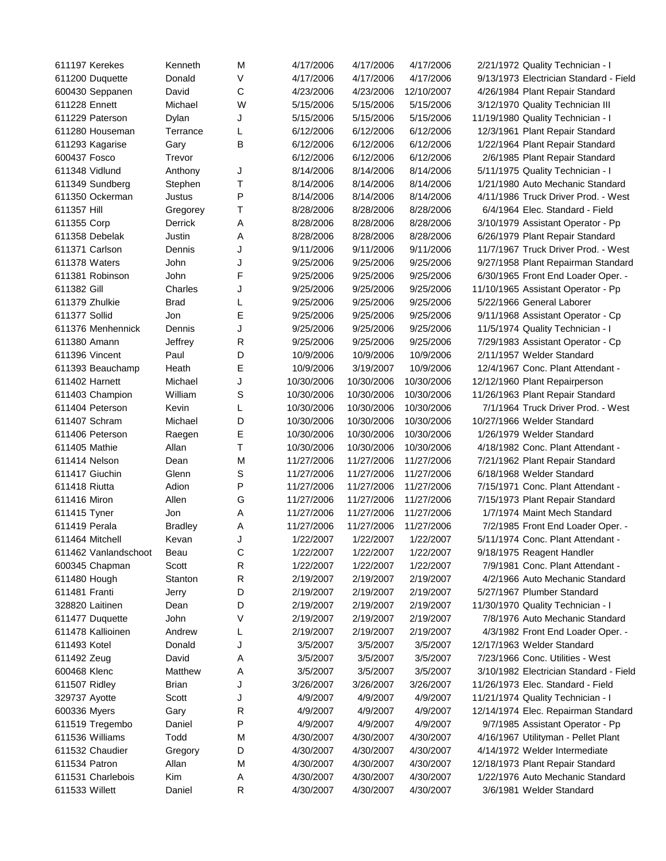| 611197 Kerekes       | Kenneth        | M | 4/17/2006  | 4/17/2006  | 4/17/2006  | 2/21/1972 Quality Technician - I       |
|----------------------|----------------|---|------------|------------|------------|----------------------------------------|
| 611200 Duquette      | Donald         | V | 4/17/2006  | 4/17/2006  | 4/17/2006  | 9/13/1973 Electrician Standard - Field |
| 600430 Seppanen      | David          | C | 4/23/2006  | 4/23/2006  | 12/10/2007 | 4/26/1984 Plant Repair Standard        |
| 611228 Ennett        | Michael        | W | 5/15/2006  | 5/15/2006  | 5/15/2006  | 3/12/1970 Quality Technician III       |
| 611229 Paterson      | Dylan          | J | 5/15/2006  | 5/15/2006  | 5/15/2006  | 11/19/1980 Quality Technician - I      |
| 611280 Houseman      | Terrance       | L | 6/12/2006  | 6/12/2006  | 6/12/2006  | 12/3/1961 Plant Repair Standard        |
| 611293 Kagarise      | Gary           | B | 6/12/2006  | 6/12/2006  | 6/12/2006  | 1/22/1964 Plant Repair Standard        |
| 600437 Fosco         | Trevor         |   | 6/12/2006  | 6/12/2006  | 6/12/2006  | 2/6/1985 Plant Repair Standard         |
| 611348 Vidlund       | Anthony        | J | 8/14/2006  | 8/14/2006  | 8/14/2006  | 5/11/1975 Quality Technician - I       |
| 611349 Sundberg      | Stephen        | Τ | 8/14/2006  | 8/14/2006  | 8/14/2006  | 1/21/1980 Auto Mechanic Standard       |
| 611350 Ockerman      | Justus         | P | 8/14/2006  | 8/14/2006  | 8/14/2006  | 4/11/1986 Truck Driver Prod. - West    |
| 611357 Hill          | Gregorey       | Τ | 8/28/2006  | 8/28/2006  | 8/28/2006  | 6/4/1964 Elec. Standard - Field        |
| 611355 Corp          | Derrick        | Α | 8/28/2006  | 8/28/2006  | 8/28/2006  | 3/10/1979 Assistant Operator - Pp      |
| 611358 Debelak       | Justin         | Α | 8/28/2006  | 8/28/2006  | 8/28/2006  | 6/26/1979 Plant Repair Standard        |
| 611371 Carlson       | Dennis         | J | 9/11/2006  | 9/11/2006  | 9/11/2006  | 11/7/1967 Truck Driver Prod. - West    |
| 611378 Waters        | John           | J | 9/25/2006  | 9/25/2006  | 9/25/2006  | 9/27/1958 Plant Repairman Standard     |
| 611381 Robinson      | John           | F | 9/25/2006  | 9/25/2006  | 9/25/2006  | 6/30/1965 Front End Loader Oper. -     |
| 611382 Gill          | Charles        | J | 9/25/2006  | 9/25/2006  | 9/25/2006  | 11/10/1965 Assistant Operator - Pp     |
| 611379 Zhulkie       | <b>Brad</b>    | L | 9/25/2006  | 9/25/2006  | 9/25/2006  | 5/22/1966 General Laborer              |
| 611377 Sollid        | Jon            | Е | 9/25/2006  | 9/25/2006  | 9/25/2006  | 9/11/1968 Assistant Operator - Cp      |
| 611376 Menhennick    | Dennis         | J | 9/25/2006  | 9/25/2006  | 9/25/2006  | 11/5/1974 Quality Technician - I       |
| 611380 Amann         | Jeffrey        | R | 9/25/2006  | 9/25/2006  | 9/25/2006  | 7/29/1983 Assistant Operator - Cp      |
| 611396 Vincent       | Paul           | D | 10/9/2006  | 10/9/2006  | 10/9/2006  | 2/11/1957 Welder Standard              |
| 611393 Beauchamp     | Heath          | Е | 10/9/2006  | 3/19/2007  | 10/9/2006  | 12/4/1967 Conc. Plant Attendant -      |
| 611402 Harnett       | Michael        | J | 10/30/2006 | 10/30/2006 | 10/30/2006 | 12/12/1960 Plant Repairperson          |
| 611403 Champion      | William        | S | 10/30/2006 | 10/30/2006 | 10/30/2006 | 11/26/1963 Plant Repair Standard       |
| 611404 Peterson      | Kevin          | L | 10/30/2006 | 10/30/2006 | 10/30/2006 | 7/1/1964 Truck Driver Prod. - West     |
| 611407 Schram        | Michael        | D | 10/30/2006 | 10/30/2006 | 10/30/2006 | 10/27/1966 Welder Standard             |
| 611406 Peterson      | Raegen         | Ε | 10/30/2006 | 10/30/2006 | 10/30/2006 | 1/26/1979 Welder Standard              |
| 611405 Mathie        | Allan          | T | 10/30/2006 | 10/30/2006 | 10/30/2006 | 4/18/1982 Conc. Plant Attendant -      |
| 611414 Nelson        | Dean           | M | 11/27/2006 | 11/27/2006 | 11/27/2006 | 7/21/1962 Plant Repair Standard        |
| 611417 Giuchin       | Glenn          | S | 11/27/2006 | 11/27/2006 | 11/27/2006 | 6/18/1968 Welder Standard              |
| 611418 Riutta        | Adion          | P | 11/27/2006 | 11/27/2006 | 11/27/2006 | 7/15/1971 Conc. Plant Attendant -      |
| 611416 Miron         | Allen          | G | 11/27/2006 | 11/27/2006 | 11/27/2006 | 7/15/1973 Plant Repair Standard        |
| 611415 Tyner         | Jon            | Α | 11/27/2006 | 11/27/2006 | 11/27/2006 | 1/7/1974 Maint Mech Standard           |
| 611419 Perala        | <b>Bradley</b> | Α | 11/27/2006 | 11/27/2006 | 11/27/2006 | 7/2/1985 Front End Loader Oper. -      |
| 611464 Mitchell      | Kevan          | J | 1/22/2007  | 1/22/2007  | 1/22/2007  | 5/11/1974 Conc. Plant Attendant -      |
| 611462 Vanlandschoot | Beau           | С | 1/22/2007  | 1/22/2007  | 1/22/2007  | 9/18/1975 Reagent Handler              |
| 600345 Chapman       | Scott          | R | 1/22/2007  | 1/22/2007  | 1/22/2007  | 7/9/1981 Conc. Plant Attendant -       |
| 611480 Hough         | Stanton        | R | 2/19/2007  | 2/19/2007  | 2/19/2007  | 4/2/1966 Auto Mechanic Standard        |
| 611481 Franti        | Jerry          | D | 2/19/2007  | 2/19/2007  | 2/19/2007  | 5/27/1967 Plumber Standard             |
| 328820 Laitinen      | Dean           | D | 2/19/2007  | 2/19/2007  | 2/19/2007  | 11/30/1970 Quality Technician - I      |
| 611477 Duquette      | John           | ٧ | 2/19/2007  | 2/19/2007  | 2/19/2007  | 7/8/1976 Auto Mechanic Standard        |
| 611478 Kallioinen    | Andrew         | L | 2/19/2007  | 2/19/2007  | 2/19/2007  | 4/3/1982 Front End Loader Oper. -      |
| 611493 Kotel         | Donald         | J | 3/5/2007   | 3/5/2007   | 3/5/2007   | 12/17/1963 Welder Standard             |
| 611492 Zeug          | David          | Α | 3/5/2007   | 3/5/2007   | 3/5/2007   | 7/23/1966 Conc. Utilities - West       |
| 600468 Klenc         | Matthew        | Α | 3/5/2007   | 3/5/2007   | 3/5/2007   | 3/10/1982 Electrician Standard - Field |
| 611507 Ridley        | <b>Brian</b>   | J | 3/26/2007  | 3/26/2007  | 3/26/2007  | 11/26/1973 Elec. Standard - Field      |
| 329737 Ayotte        | Scott          | J | 4/9/2007   | 4/9/2007   | 4/9/2007   | 11/21/1974 Quality Technician - I      |
| 600336 Myers         | Gary           | R | 4/9/2007   | 4/9/2007   | 4/9/2007   | 12/14/1974 Elec. Repairman Standard    |
| 611519 Tregembo      | Daniel         | P | 4/9/2007   | 4/9/2007   | 4/9/2007   | 9/7/1985 Assistant Operator - Pp       |
| 611536 Williams      | Todd           | M | 4/30/2007  | 4/30/2007  | 4/30/2007  | 4/16/1967 Utilityman - Pellet Plant    |
| 611532 Chaudier      | Gregory        | D | 4/30/2007  | 4/30/2007  | 4/30/2007  | 4/14/1972 Welder Intermediate          |
| 611534 Patron        | Allan          | M | 4/30/2007  | 4/30/2007  | 4/30/2007  | 12/18/1973 Plant Repair Standard       |
| 611531 Charlebois    | Kim            | Α | 4/30/2007  | 4/30/2007  | 4/30/2007  | 1/22/1976 Auto Mechanic Standard       |
| 611533 Willett       | Daniel         | R | 4/30/2007  | 4/30/2007  | 4/30/2007  | 3/6/1981 Welder Standard               |
|                      |                |   |            |            |            |                                        |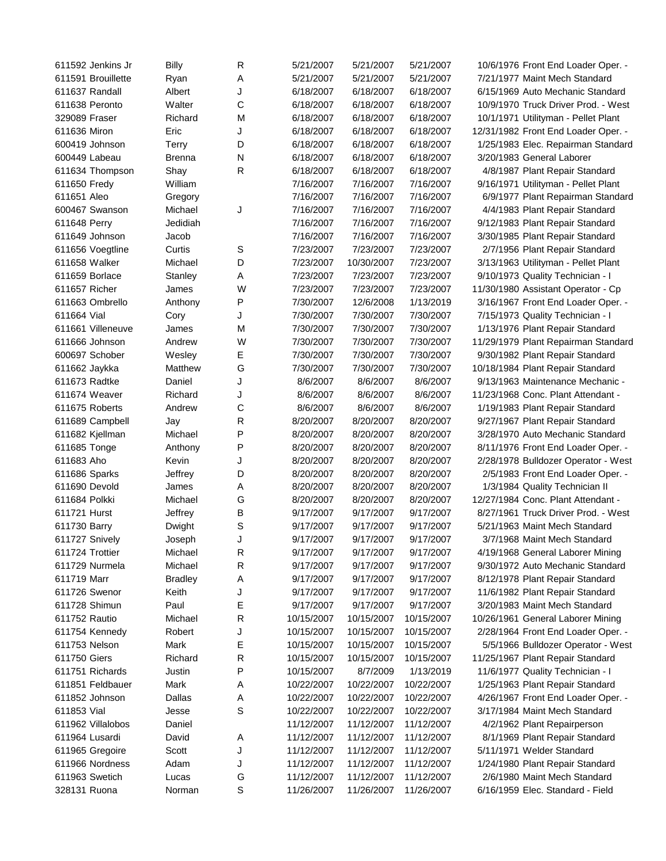| 611592 Jenkins Jr                   | <b>Billy</b>    | R      | 5/21/2007                | 5/21/2007                | 5/21/2007                | 10/6/1976 Front End Loader Oper. -                          |  |
|-------------------------------------|-----------------|--------|--------------------------|--------------------------|--------------------------|-------------------------------------------------------------|--|
| 611591 Brouillette                  | Ryan            | Α      | 5/21/2007                | 5/21/2007                | 5/21/2007                | 7/21/1977 Maint Mech Standard                               |  |
| 611637 Randall                      | Albert          | J      | 6/18/2007                | 6/18/2007                | 6/18/2007                | 6/15/1969 Auto Mechanic Standard                            |  |
| 611638 Peronto                      | Walter          | C      | 6/18/2007                | 6/18/2007                | 6/18/2007                | 10/9/1970 Truck Driver Prod. - West                         |  |
| 329089 Fraser                       | Richard         | М      | 6/18/2007                | 6/18/2007                | 6/18/2007                | 10/1/1971 Utilityman - Pellet Plant                         |  |
| 611636 Miron                        | Eric            | J      | 6/18/2007                | 6/18/2007                | 6/18/2007                | 12/31/1982 Front End Loader Oper. -                         |  |
| 600419 Johnson                      | Terry           | D      | 6/18/2007                | 6/18/2007                | 6/18/2007                | 1/25/1983 Elec. Repairman Standard                          |  |
| 600449 Labeau                       | Brenna          | N      | 6/18/2007                | 6/18/2007                | 6/18/2007                | 3/20/1983 General Laborer                                   |  |
| 611634 Thompson                     | Shay            | R      | 6/18/2007                | 6/18/2007                | 6/18/2007                | 4/8/1987 Plant Repair Standard                              |  |
| 611650 Fredy                        | William         |        | 7/16/2007                | 7/16/2007                | 7/16/2007                | 9/16/1971 Utilityman - Pellet Plant                         |  |
| 611651 Aleo                         | Gregory         |        | 7/16/2007                | 7/16/2007                | 7/16/2007                | 6/9/1977 Plant Repairman Standard                           |  |
| 600467 Swanson                      | Michael         | J      | 7/16/2007                | 7/16/2007                | 7/16/2007                | 4/4/1983 Plant Repair Standard                              |  |
| 611648 Perry                        | Jedidiah        |        | 7/16/2007                | 7/16/2007                | 7/16/2007                | 9/12/1983 Plant Repair Standard                             |  |
| 611649 Johnson                      | Jacob           |        | 7/16/2007                | 7/16/2007                | 7/16/2007                | 3/30/1985 Plant Repair Standard                             |  |
| 611656 Voegtline                    | Curtis          | S      | 7/23/2007                | 7/23/2007                | 7/23/2007                | 2/7/1956 Plant Repair Standard                              |  |
| 611658 Walker                       | Michael         | D      | 7/23/2007                | 10/30/2007               | 7/23/2007                | 3/13/1963 Utilityman - Pellet Plant                         |  |
| 611659 Borlace                      | Stanley         | Α      | 7/23/2007                | 7/23/2007                | 7/23/2007                | 9/10/1973 Quality Technician - I                            |  |
| 611657 Richer                       | James           | W      | 7/23/2007                | 7/23/2007                | 7/23/2007                | 11/30/1980 Assistant Operator - Cp                          |  |
| 611663 Ombrello                     | Anthony         | Ρ      | 7/30/2007                | 12/6/2008                | 1/13/2019                | 3/16/1967 Front End Loader Oper. -                          |  |
| 611664 Vial                         | Cory            | J      | 7/30/2007                | 7/30/2007                | 7/30/2007                | 7/15/1973 Quality Technician - I                            |  |
| 611661 Villeneuve                   | James           | М      | 7/30/2007                | 7/30/2007                | 7/30/2007                | 1/13/1976 Plant Repair Standard                             |  |
| 611666 Johnson                      | Andrew          | W      | 7/30/2007                | 7/30/2007                | 7/30/2007                | 11/29/1979 Plant Repairman Standard                         |  |
| 600697 Schober                      | Wesley          | Е      | 7/30/2007                | 7/30/2007                | 7/30/2007                | 9/30/1982 Plant Repair Standard                             |  |
| 611662 Jaykka                       | Matthew         | G      | 7/30/2007                | 7/30/2007                | 7/30/2007                | 10/18/1984 Plant Repair Standard                            |  |
| 611673 Radtke                       | Daniel          | J      | 8/6/2007                 | 8/6/2007                 | 8/6/2007                 | 9/13/1963 Maintenance Mechanic -                            |  |
| 611674 Weaver                       | Richard         | J      | 8/6/2007                 | 8/6/2007                 | 8/6/2007                 | 11/23/1968 Conc. Plant Attendant -                          |  |
| 611675 Roberts                      | Andrew          | С      | 8/6/2007                 | 8/6/2007                 | 8/6/2007                 | 1/19/1983 Plant Repair Standard                             |  |
| 611689 Campbell                     | Jay             | R      | 8/20/2007                | 8/20/2007                | 8/20/2007                | 9/27/1967 Plant Repair Standard                             |  |
| 611682 Kjellman                     | Michael         | P      | 8/20/2007                | 8/20/2007                | 8/20/2007                | 3/28/1970 Auto Mechanic Standard                            |  |
| 611685 Tonge                        | Anthony         | Ρ      | 8/20/2007                | 8/20/2007                | 8/20/2007                | 8/11/1976 Front End Loader Oper. -                          |  |
| 611683 Aho                          | Kevin           | J      | 8/20/2007                | 8/20/2007                | 8/20/2007                | 2/28/1978 Bulldozer Operator - West                         |  |
| 611686 Sparks                       | Jeffrey         | D      | 8/20/2007                | 8/20/2007                | 8/20/2007                | 2/5/1983 Front End Loader Oper. -                           |  |
| 611690 Devold                       | James           | Α      | 8/20/2007                | 8/20/2007                | 8/20/2007                | 1/3/1984 Quality Technician II                              |  |
| 611684 Polkki                       | Michael         | G      | 8/20/2007                | 8/20/2007                | 8/20/2007                | 12/27/1984 Conc. Plant Attendant -                          |  |
| 611721 Hurst                        | Jeffrey         | В      | 9/17/2007                | 9/17/2007                | 9/17/2007                | 8/27/1961 Truck Driver Prod. - West                         |  |
| 611730 Barry                        | Dwight          | S      | 9/17/2007                | 9/17/2007                | 9/17/2007                | 5/21/1963 Maint Mech Standard                               |  |
| 611727 Snively                      | Joseph          | J      | 9/17/2007                | 9/17/2007                | 9/17/2007                | 3/7/1968 Maint Mech Standard                                |  |
| 611724 Trottier                     | Michael         | R      | 9/17/2007                | 9/17/2007                | 9/17/2007                | 4/19/1968 General Laborer Mining                            |  |
| 611729 Nurmela                      | Michael         | R      | 9/17/2007                | 9/17/2007                | 9/17/2007                | 9/30/1972 Auto Mechanic Standard                            |  |
| 611719 Marr                         | <b>Bradley</b>  | Α      | 9/17/2007                | 9/17/2007                | 9/17/2007                | 8/12/1978 Plant Repair Standard                             |  |
| 611726 Swenor                       | Keith           | J      | 9/17/2007                | 9/17/2007                | 9/17/2007                | 11/6/1982 Plant Repair Standard                             |  |
| 611728 Shimun                       | Paul            | E      | 9/17/2007                | 9/17/2007                | 9/17/2007                | 3/20/1983 Maint Mech Standard                               |  |
| 611752 Rautio                       | Michael         | R      | 10/15/2007               | 10/15/2007               | 10/15/2007               | 10/26/1961 General Laborer Mining                           |  |
| 611754 Kennedy                      | Robert          | J      | 10/15/2007               | 10/15/2007               | 10/15/2007               | 2/28/1964 Front End Loader Oper. -                          |  |
| 611753 Nelson                       | Mark            | E      | 10/15/2007               | 10/15/2007               | 10/15/2007               | 5/5/1966 Bulldozer Operator - West                          |  |
| 611750 Giers                        | Richard         | R      | 10/15/2007               | 10/15/2007               | 10/15/2007               | 11/25/1967 Plant Repair Standard                            |  |
| 611751 Richards                     | Justin          | Ρ      | 10/15/2007               | 8/7/2009                 | 1/13/2019                | 11/6/1977 Quality Technician - I                            |  |
| 611851 Feldbauer                    | Mark            | Α      | 10/22/2007               | 10/22/2007               | 10/22/2007               | 1/25/1963 Plant Repair Standard                             |  |
| 611852 Johnson                      | Dallas          |        | 10/22/2007               | 10/22/2007               | 10/22/2007               | 4/26/1967 Front End Loader Oper. -                          |  |
| 611853 Vial                         |                 | Α<br>S | 10/22/2007               | 10/22/2007               | 10/22/2007               | 3/17/1984 Maint Mech Standard                               |  |
|                                     | Jesse           |        |                          |                          |                          |                                                             |  |
| 611962 Villalobos<br>611964 Lusardi | Daniel<br>David |        | 11/12/2007<br>11/12/2007 | 11/12/2007<br>11/12/2007 | 11/12/2007<br>11/12/2007 | 4/2/1962 Plant Repairperson                                 |  |
|                                     | Scott           | A<br>J | 11/12/2007               | 11/12/2007               | 11/12/2007               | 8/1/1969 Plant Repair Standard<br>5/11/1971 Welder Standard |  |
| 611965 Gregoire<br>611966 Nordness  | Adam            | J      |                          |                          | 11/12/2007               |                                                             |  |
|                                     |                 |        | 11/12/2007               | 11/12/2007               |                          | 1/24/1980 Plant Repair Standard                             |  |
| 611963 Swetich                      | Lucas           | G      | 11/12/2007               | 11/12/2007               | 11/12/2007               | 2/6/1980 Maint Mech Standard                                |  |
| 328131 Ruona                        | Norman          | S      | 11/26/2007               | 11/26/2007               | 11/26/2007               | 6/16/1959 Elec. Standard - Field                            |  |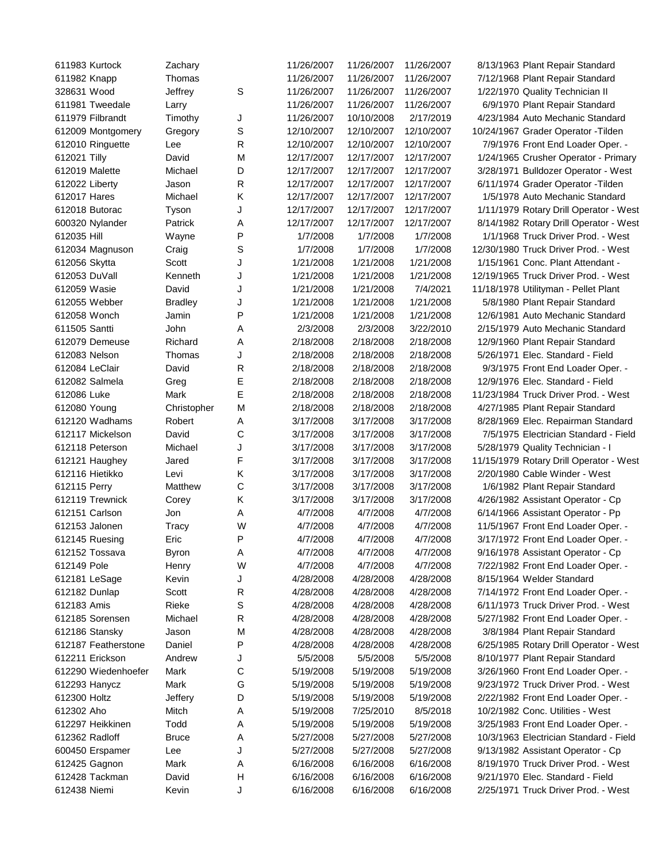| 611983 Kurtock                | Zachary          |              | 11/26/2007             | 11/26/2007 | 11/26/2007 | 8/13/1963 Plant Repair Standard                                           |
|-------------------------------|------------------|--------------|------------------------|------------|------------|---------------------------------------------------------------------------|
| 611982 Knapp                  | Thomas           |              | 11/26/2007             | 11/26/2007 | 11/26/2007 | 7/12/1968 Plant Repair Standard                                           |
| 328631 Wood                   | Jeffrey          | $\mathbb S$  | 11/26/2007             | 11/26/2007 | 11/26/2007 | 1/22/1970 Quality Technician II                                           |
| 611981 Tweedale               | Larry            |              | 11/26/2007             | 11/26/2007 | 11/26/2007 | 6/9/1970 Plant Repair Standard                                            |
| 611979 Filbrandt              | Timothy          | J            | 11/26/2007             | 10/10/2008 | 2/17/2019  | 4/23/1984 Auto Mechanic Standard                                          |
| 612009 Montgomery             | Gregory          | S            | 12/10/2007             | 12/10/2007 | 12/10/2007 | 10/24/1967 Grader Operator - Tilden                                       |
| 612010 Ringuette              | Lee              | $\mathsf{R}$ | 12/10/2007             | 12/10/2007 | 12/10/2007 | 7/9/1976 Front End Loader Oper. -                                         |
| 612021 Tilly                  | David            | M            | 12/17/2007             | 12/17/2007 | 12/17/2007 | 1/24/1965 Crusher Operator - Primary                                      |
| 612019 Malette                | Michael          | D            | 12/17/2007             | 12/17/2007 | 12/17/2007 | 3/28/1971 Bulldozer Operator - West                                       |
| 612022 Liberty                | Jason            | ${\sf R}$    | 12/17/2007             | 12/17/2007 | 12/17/2007 | 6/11/1974 Grader Operator - Tilden                                        |
| 612017 Hares                  | Michael          | Κ            | 12/17/2007             | 12/17/2007 | 12/17/2007 | 1/5/1978 Auto Mechanic Standard                                           |
| 612018 Butorac                | Tyson            | J            | 12/17/2007             | 12/17/2007 | 12/17/2007 | 1/11/1979 Rotary Drill Operator - West                                    |
| 600320 Nylander               | Patrick          | Α            | 12/17/2007             | 12/17/2007 | 12/17/2007 | 8/14/1982 Rotary Drill Operator - West                                    |
| 612035 Hill                   | Wayne            | P            | 1/7/2008               | 1/7/2008   | 1/7/2008   | 1/1/1968 Truck Driver Prod. - West                                        |
| 612034 Magnuson               |                  | S            | 1/7/2008               | 1/7/2008   | 1/7/2008   | 12/30/1980 Truck Driver Prod. - West                                      |
|                               | Craig            | J            |                        | 1/21/2008  | 1/21/2008  | 1/15/1961 Conc. Plant Attendant -                                         |
| 612056 Skytta                 | Scott<br>Kenneth |              | 1/21/2008              | 1/21/2008  |            | 12/19/1965 Truck Driver Prod. - West                                      |
| 612053 DuVall                 |                  | J            | 1/21/2008              |            | 1/21/2008  |                                                                           |
| 612059 Wasie                  | David            | J            | 1/21/2008              | 1/21/2008  | 7/4/2021   | 11/18/1978 Utilityman - Pellet Plant                                      |
| 612055 Webber                 | <b>Bradley</b>   | J            | 1/21/2008              | 1/21/2008  | 1/21/2008  | 5/8/1980 Plant Repair Standard                                            |
| 612058 Wonch                  | Jamin            | P            | 1/21/2008              | 1/21/2008  | 1/21/2008  | 12/6/1981 Auto Mechanic Standard                                          |
| 611505 Santti                 | John             | Α            | 2/3/2008               | 2/3/2008   | 3/22/2010  | 2/15/1979 Auto Mechanic Standard                                          |
| 612079 Demeuse                | Richard          | Α            | 2/18/2008              | 2/18/2008  | 2/18/2008  | 12/9/1960 Plant Repair Standard                                           |
| 612083 Nelson                 | Thomas           | J            | 2/18/2008              | 2/18/2008  | 2/18/2008  | 5/26/1971 Elec. Standard - Field                                          |
| 612084 LeClair                | David            | R            | 2/18/2008              | 2/18/2008  | 2/18/2008  | 9/3/1975 Front End Loader Oper. -                                         |
| 612082 Salmela                | Greg             | Ε            | 2/18/2008              | 2/18/2008  | 2/18/2008  | 12/9/1976 Elec. Standard - Field                                          |
| 612086 Luke                   | Mark             | Е            | 2/18/2008              | 2/18/2008  | 2/18/2008  | 11/23/1984 Truck Driver Prod. - West                                      |
| 612080 Young                  | Christopher      | M            | 2/18/2008              | 2/18/2008  | 2/18/2008  | 4/27/1985 Plant Repair Standard                                           |
| 612120 Wadhams                | Robert           | Α            | 3/17/2008              | 3/17/2008  | 3/17/2008  | 8/28/1969 Elec. Repairman Standard                                        |
| 612117 Mickelson              | David            | C            | 3/17/2008              | 3/17/2008  | 3/17/2008  | 7/5/1975 Electrician Standard - Field                                     |
| 612118 Peterson               | Michael          | J            | 3/17/2008              | 3/17/2008  | 3/17/2008  | 5/28/1979 Quality Technician - I                                          |
| 612121 Haughey                | Jared            | F            | 3/17/2008              | 3/17/2008  | 3/17/2008  | 11/15/1979 Rotary Drill Operator - West                                   |
| 612116 Hietikko               | Levi             | Κ            | 3/17/2008              | 3/17/2008  | 3/17/2008  | 2/20/1980 Cable Winder - West                                             |
| 612115 Perry                  | Matthew          | C            | 3/17/2008              | 3/17/2008  | 3/17/2008  | 1/6/1982 Plant Repair Standard                                            |
| 612119 Trewnick               | Corey            | Κ            | 3/17/2008              | 3/17/2008  | 3/17/2008  | 4/26/1982 Assistant Operator - Cp                                         |
| 612151 Carlson                | Jon              | Α            | 4/7/2008               | 4/7/2008   | 4/7/2008   | 6/14/1966 Assistant Operator - Pp                                         |
| 612153 Jalonen                | Tracy            | W            | 4/7/2008               | 4/7/2008   | 4/7/2008   | 11/5/1967 Front End Loader Oper. -                                        |
| 612145 Ruesing                | Eric             | P            | 4/7/2008               | 4/7/2008   | 4/7/2008   | 3/17/1972 Front End Loader Oper. -                                        |
| 612152 Tossava                | Byron            | Α            | 4/7/2008               | 4/7/2008   | 4/7/2008   | 9/16/1978 Assistant Operator - Cp                                         |
| 612149 Pole                   | Henry            | W            | 4/7/2008               | 4/7/2008   | 4/7/2008   | 7/22/1982 Front End Loader Oper. -                                        |
| 612181 LeSage                 | Kevin            | J            | 4/28/2008              | 4/28/2008  | 4/28/2008  | 8/15/1964 Welder Standard                                                 |
| 612182 Dunlap                 | Scott            | R            | 4/28/2008              | 4/28/2008  | 4/28/2008  | 7/14/1972 Front End Loader Oper. -                                        |
| 612183 Amis                   | Rieke            | S            | 4/28/2008              | 4/28/2008  | 4/28/2008  | 6/11/1973 Truck Driver Prod. - West                                       |
| 612185 Sorensen               | Michael          | R            | 4/28/2008              | 4/28/2008  | 4/28/2008  | 5/27/1982 Front End Loader Oper. -                                        |
| 612186 Stansky                | Jason            | M            | 4/28/2008              | 4/28/2008  | 4/28/2008  | 3/8/1984 Plant Repair Standard                                            |
| 612187 Featherstone           | Daniel           | P            | 4/28/2008              | 4/28/2008  | 4/28/2008  | 6/25/1985 Rotary Drill Operator - West                                    |
| 612211 Erickson               | Andrew           | J            | 5/5/2008               | 5/5/2008   | 5/5/2008   | 8/10/1977 Plant Repair Standard                                           |
| 612290 Wiedenhoefer           | Mark             | C            | 5/19/2008              | 5/19/2008  | 5/19/2008  | 3/26/1960 Front End Loader Oper. -                                        |
|                               | Mark             | G            |                        | 5/19/2008  | 5/19/2008  |                                                                           |
| 612293 Hanycz<br>612300 Holtz | Jeffery          | D            | 5/19/2008<br>5/19/2008 | 5/19/2008  | 5/19/2008  | 9/23/1972 Truck Driver Prod. - West<br>2/22/1982 Front End Loader Oper. - |
|                               |                  |              |                        |            |            |                                                                           |
| 612302 Aho                    | Mitch            | Α            | 5/19/2008              | 7/25/2010  | 8/5/2018   | 10/2/1982 Conc. Utilities - West                                          |
| 612297 Heikkinen              | Todd             | Α            | 5/19/2008              | 5/19/2008  | 5/19/2008  | 3/25/1983 Front End Loader Oper. -                                        |
| 612362 Radloff                | <b>Bruce</b>     | Α            | 5/27/2008              | 5/27/2008  | 5/27/2008  | 10/3/1963 Electrician Standard - Field                                    |
| 600450 Erspamer               | Lee              | J            | 5/27/2008              | 5/27/2008  | 5/27/2008  | 9/13/1982 Assistant Operator - Cp                                         |
| 612425 Gagnon                 | Mark             | A            | 6/16/2008              | 6/16/2008  | 6/16/2008  | 8/19/1970 Truck Driver Prod. - West                                       |
| 612428 Tackman                | David            | Н            | 6/16/2008              | 6/16/2008  | 6/16/2008  | 9/21/1970 Elec. Standard - Field                                          |
| 612438 Niemi                  | Kevin            | J            | 6/16/2008              | 6/16/2008  | 6/16/2008  | 2/25/1971 Truck Driver Prod. - West                                       |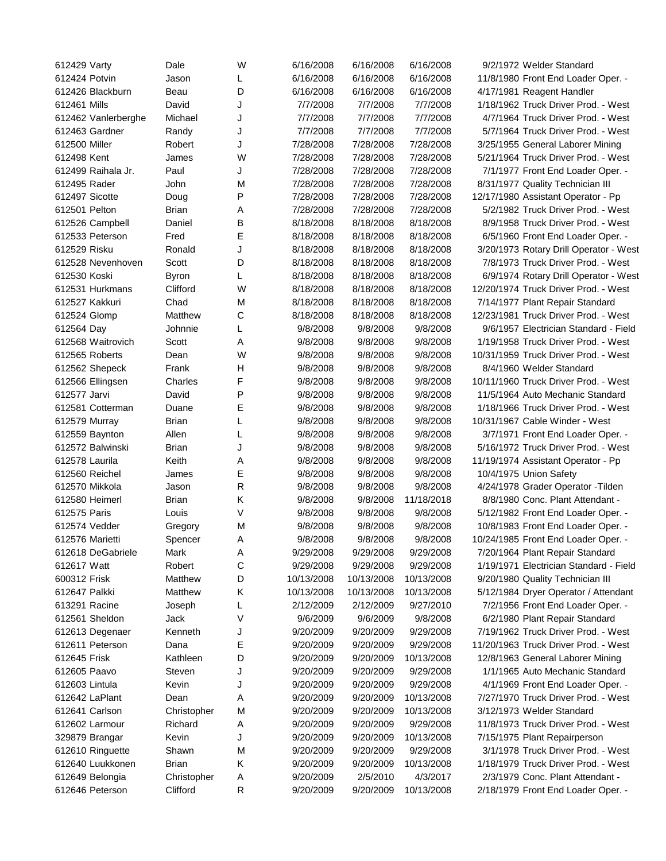| 612429 Varty        | Dale         | W | 6/16/2008  | 6/16/2008  | 6/16/2008  | 9/2/1972 Welder Standard               |
|---------------------|--------------|---|------------|------------|------------|----------------------------------------|
| 612424 Potvin       | Jason        | L | 6/16/2008  | 6/16/2008  | 6/16/2008  | 11/8/1980 Front End Loader Oper. -     |
| 612426 Blackburn    | Beau         | D | 6/16/2008  | 6/16/2008  | 6/16/2008  | 4/17/1981 Reagent Handler              |
| 612461 Mills        | David        | J | 7/7/2008   | 7/7/2008   | 7/7/2008   | 1/18/1962 Truck Driver Prod. - West    |
| 612462 Vanlerberghe | Michael      | J | 7/7/2008   | 7/7/2008   | 7/7/2008   | 4/7/1964 Truck Driver Prod. - West     |
| 612463 Gardner      | Randy        | J | 7/7/2008   | 7/7/2008   | 7/7/2008   | 5/7/1964 Truck Driver Prod. - West     |
| 612500 Miller       | Robert       | J | 7/28/2008  | 7/28/2008  | 7/28/2008  | 3/25/1955 General Laborer Mining       |
| 612498 Kent         | James        | W | 7/28/2008  | 7/28/2008  | 7/28/2008  | 5/21/1964 Truck Driver Prod. - West    |
| 612499 Raihala Jr.  | Paul         | J | 7/28/2008  | 7/28/2008  | 7/28/2008  | 7/1/1977 Front End Loader Oper. -      |
| 612495 Rader        | John         | M | 7/28/2008  | 7/28/2008  | 7/28/2008  | 8/31/1977 Quality Technician III       |
| 612497 Sicotte      | Doug         | P | 7/28/2008  | 7/28/2008  | 7/28/2008  | 12/17/1980 Assistant Operator - Pp     |
| 612501 Pelton       | Brian        | Α | 7/28/2008  | 7/28/2008  | 7/28/2008  | 5/2/1982 Truck Driver Prod. - West     |
| 612526 Campbell     | Daniel       | в | 8/18/2008  | 8/18/2008  | 8/18/2008  | 8/9/1958 Truck Driver Prod. - West     |
| 612533 Peterson     | Fred         | Ε | 8/18/2008  | 8/18/2008  | 8/18/2008  | 6/5/1960 Front End Loader Oper. -      |
| 612529 Risku        | Ronald       | J | 8/18/2008  | 8/18/2008  | 8/18/2008  | 3/20/1973 Rotary Drill Operator - West |
| 612528 Nevenhoven   | Scott        | D | 8/18/2008  | 8/18/2008  | 8/18/2008  | 7/8/1973 Truck Driver Prod. - West     |
| 612530 Koski        | <b>Byron</b> | L | 8/18/2008  | 8/18/2008  | 8/18/2008  | 6/9/1974 Rotary Drill Operator - West  |
| 612531 Hurkmans     | Clifford     | W | 8/18/2008  | 8/18/2008  | 8/18/2008  | 12/20/1974 Truck Driver Prod. - West   |
| 612527 Kakkuri      | Chad         | M | 8/18/2008  | 8/18/2008  | 8/18/2008  | 7/14/1977 Plant Repair Standard        |
| 612524 Glomp        | Matthew      | С | 8/18/2008  | 8/18/2008  | 8/18/2008  | 12/23/1981 Truck Driver Prod. - West   |
| 612564 Day          | Johnnie      | L | 9/8/2008   | 9/8/2008   | 9/8/2008   | 9/6/1957 Electrician Standard - Field  |
| 612568 Waitrovich   | Scott        | Α | 9/8/2008   | 9/8/2008   | 9/8/2008   | 1/19/1958 Truck Driver Prod. - West    |
| 612565 Roberts      | Dean         | W | 9/8/2008   | 9/8/2008   | 9/8/2008   | 10/31/1959 Truck Driver Prod. - West   |
| 612562 Shepeck      | Frank        | Н | 9/8/2008   | 9/8/2008   | 9/8/2008   | 8/4/1960 Welder Standard               |
| 612566 Ellingsen    | Charles      | F | 9/8/2008   | 9/8/2008   | 9/8/2008   | 10/11/1960 Truck Driver Prod. - West   |
| 612577 Jarvi        | David        | P | 9/8/2008   | 9/8/2008   | 9/8/2008   | 11/5/1964 Auto Mechanic Standard       |
| 612581 Cotterman    | Duane        | Е | 9/8/2008   | 9/8/2008   | 9/8/2008   | 1/18/1966 Truck Driver Prod. - West    |
| 612579 Murray       | <b>Brian</b> | L | 9/8/2008   | 9/8/2008   | 9/8/2008   | 10/31/1967 Cable Winder - West         |
| 612559 Baynton      | Allen        | L | 9/8/2008   | 9/8/2008   | 9/8/2008   | 3/7/1971 Front End Loader Oper. -      |
| 612572 Balwinski    | Brian        | J | 9/8/2008   | 9/8/2008   | 9/8/2008   | 5/16/1972 Truck Driver Prod. - West    |
| 612578 Laurila      | Keith        | Α | 9/8/2008   | 9/8/2008   | 9/8/2008   | 11/19/1974 Assistant Operator - Pp     |
| 612560 Reichel      | James        | Ε | 9/8/2008   | 9/8/2008   | 9/8/2008   | 10/4/1975 Union Safety                 |
| 612570 Mikkola      | Jason        | R | 9/8/2008   | 9/8/2008   | 9/8/2008   | 4/24/1978 Grader Operator - Tilden     |
| 612580 Heimerl      | Brian        | Κ | 9/8/2008   | 9/8/2008   | 11/18/2018 | 8/8/1980 Conc. Plant Attendant -       |
| 612575 Paris        | Louis        | V | 9/8/2008   | 9/8/2008   | 9/8/2008   | 5/12/1982 Front End Loader Oper. -     |
| 612574 Vedder       | Gregory      | M | 9/8/2008   | 9/8/2008   | 9/8/2008   | 10/8/1983 Front End Loader Oper. -     |
| 612576 Marietti     | Spencer      | Α | 9/8/2008   | 9/8/2008   | 9/8/2008   | 10/24/1985 Front End Loader Oper. -    |
| 612618 DeGabriele   | Mark         | Α | 9/29/2008  | 9/29/2008  | 9/29/2008  | 7/20/1964 Plant Repair Standard        |
| 612617 Watt         | Robert       | C | 9/29/2008  | 9/29/2008  | 9/29/2008  | 1/19/1971 Electrician Standard - Field |
| 600312 Frisk        | Matthew      | D | 10/13/2008 | 10/13/2008 | 10/13/2008 | 9/20/1980 Quality Technician III       |
| 612647 Palkki       | Matthew      | Κ | 10/13/2008 | 10/13/2008 | 10/13/2008 | 5/12/1984 Dryer Operator / Attendant   |
| 613291 Racine       | Joseph       | L | 2/12/2009  | 2/12/2009  | 9/27/2010  | 7/2/1956 Front End Loader Oper. -      |
| 612561 Sheldon      | Jack         | ٧ | 9/6/2009   | 9/6/2009   | 9/8/2008   | 6/2/1980 Plant Repair Standard         |
| 612613 Degenaer     | Kenneth      | J | 9/20/2009  | 9/20/2009  | 9/29/2008  | 7/19/1962 Truck Driver Prod. - West    |
| 612611 Peterson     | Dana         | Ε | 9/20/2009  | 9/20/2009  | 9/29/2008  | 11/20/1963 Truck Driver Prod. - West   |
| 612645 Frisk        | Kathleen     | D | 9/20/2009  | 9/20/2009  | 10/13/2008 | 12/8/1963 General Laborer Mining       |
| 612605 Paavo        | Steven       | J | 9/20/2009  | 9/20/2009  | 9/29/2008  | 1/1/1965 Auto Mechanic Standard        |
| 612603 Lintula      | Kevin        | J | 9/20/2009  | 9/20/2009  | 9/29/2008  | 4/1/1969 Front End Loader Oper. -      |
| 612642 LaPlant      | Dean         | Α | 9/20/2009  | 9/20/2009  | 10/13/2008 | 7/27/1970 Truck Driver Prod. - West    |
| 612641 Carlson      | Christopher  | M | 9/20/2009  | 9/20/2009  | 10/13/2008 | 3/12/1973 Welder Standard              |
| 612602 Larmour      | Richard      | Α | 9/20/2009  | 9/20/2009  | 9/29/2008  | 11/8/1973 Truck Driver Prod. - West    |
| 329879 Brangar      | Kevin        | J | 9/20/2009  | 9/20/2009  | 10/13/2008 | 7/15/1975 Plant Repairperson           |
| 612610 Ringuette    | Shawn        | M | 9/20/2009  | 9/20/2009  | 9/29/2008  | 3/1/1978 Truck Driver Prod. - West     |
| 612640 Luukkonen    | <b>Brian</b> | Κ | 9/20/2009  | 9/20/2009  | 10/13/2008 | 1/18/1979 Truck Driver Prod. - West    |
| 612649 Belongia     | Christopher  | Α | 9/20/2009  | 2/5/2010   | 4/3/2017   | 2/3/1979 Conc. Plant Attendant -       |
| 612646 Peterson     | Clifford     | R | 9/20/2009  | 9/20/2009  | 10/13/2008 | 2/18/1979 Front End Loader Oper. -     |
|                     |              |   |            |            |            |                                        |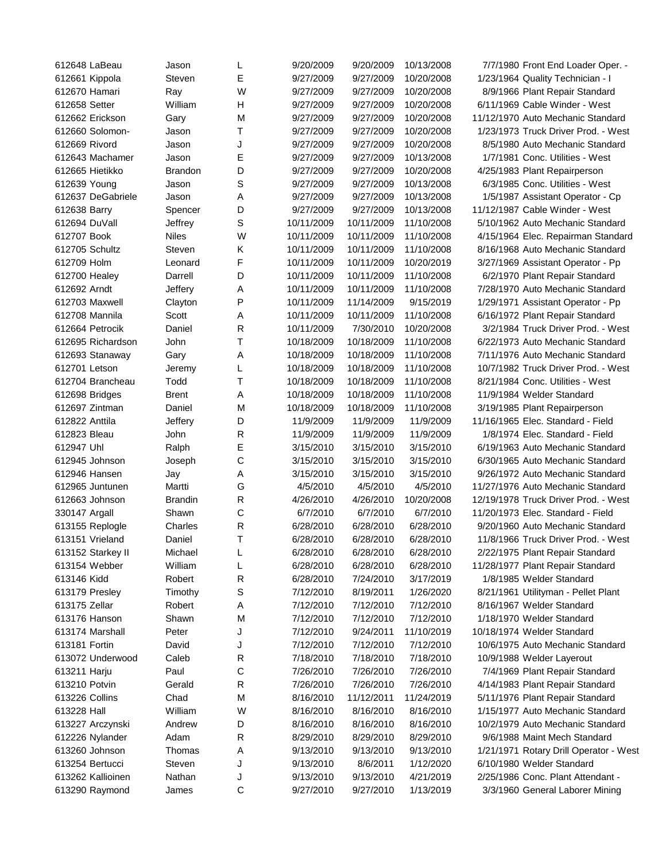| 612648 LaBeau     | Jason                   | L            | 9/20/2009             | 9/20/2009  | 10/13/2008 | 7/7/1980 Front End Loader Oper. -      |
|-------------------|-------------------------|--------------|-----------------------|------------|------------|----------------------------------------|
| 612661 Kippola    | Steven                  | Е            | 9/27/2009             | 9/27/2009  | 10/20/2008 | 1/23/1964 Quality Technician - I       |
| 612670 Hamari     | Ray                     | W            | 9/27/2009             | 9/27/2009  | 10/20/2008 | 8/9/1966 Plant Repair Standard         |
| 612658 Setter     | William                 | H            | 9/27/2009             | 9/27/2009  | 10/20/2008 | 6/11/1969 Cable Winder - West          |
| 612662 Erickson   | Gary                    | M            | 9/27/2009             | 9/27/2009  | 10/20/2008 | 11/12/1970 Auto Mechanic Standard      |
| 612660 Solomon-   | Jason                   | т            | 9/27/2009             | 9/27/2009  | 10/20/2008 | 1/23/1973 Truck Driver Prod. - West    |
| 612669 Rivord     | Jason                   | J            | 9/27/2009             | 9/27/2009  | 10/20/2008 | 8/5/1980 Auto Mechanic Standard        |
| 612643 Machamer   | Jason                   | Е            | 9/27/2009             | 9/27/2009  | 10/13/2008 | 1/7/1981 Conc. Utilities - West        |
| 612665 Hietikko   | <b>Brandon</b>          | D            | 9/27/2009             | 9/27/2009  | 10/20/2008 | 4/25/1983 Plant Repairperson           |
| 612639 Young      | Jason                   | S            | 9/27/2009             | 9/27/2009  | 10/13/2008 | 6/3/1985 Conc. Utilities - West        |
| 612637 DeGabriele | Jason                   | Α            | 9/27/2009             | 9/27/2009  | 10/13/2008 | 1/5/1987 Assistant Operator - Cp       |
| 612638 Barry      | Spencer                 | D            | 9/27/2009             | 9/27/2009  | 10/13/2008 | 11/12/1987 Cable Winder - West         |
| 612694 DuVall     | Jeffrey                 | S            | 10/11/2009            | 10/11/2009 | 11/10/2008 | 5/10/1962 Auto Mechanic Standard       |
| 612707 Book       | <b>Niles</b>            | W            | 10/11/2009            | 10/11/2009 | 11/10/2008 | 4/15/1964 Elec. Repairman Standard     |
| 612705 Schultz    | Steven                  | Κ            | 10/11/2009            | 10/11/2009 | 11/10/2008 | 8/16/1968 Auto Mechanic Standard       |
| 612709 Holm       | Leonard                 | F            | 10/11/2009            | 10/11/2009 | 10/20/2019 | 3/27/1969 Assistant Operator - Pp      |
| 612700 Healey     | Darrell                 | D            | 10/11/2009            | 10/11/2009 | 11/10/2008 | 6/2/1970 Plant Repair Standard         |
| 612692 Arndt      | Jeffery                 | Α            | 10/11/2009            | 10/11/2009 | 11/10/2008 | 7/28/1970 Auto Mechanic Standard       |
| 612703 Maxwell    | Clayton                 | P            | 10/11/2009            | 11/14/2009 | 9/15/2019  | 1/29/1971 Assistant Operator - Pp      |
| 612708 Mannila    | Scott                   | Α            | 10/11/2009            | 10/11/2009 | 11/10/2008 | 6/16/1972 Plant Repair Standard        |
| 612664 Petrocik   | Daniel                  | R            | 10/11/2009            | 7/30/2010  | 10/20/2008 | 3/2/1984 Truck Driver Prod. - West     |
| 612695 Richardson | John                    | т            | 10/18/2009            | 10/18/2009 | 11/10/2008 | 6/22/1973 Auto Mechanic Standard       |
| 612693 Stanaway   | Gary                    | Α            | 10/18/2009            | 10/18/2009 | 11/10/2008 | 7/11/1976 Auto Mechanic Standard       |
| 612701 Letson     | Jeremy                  | L            | 10/18/2009            | 10/18/2009 | 11/10/2008 | 10/7/1982 Truck Driver Prod. - West    |
| 612704 Brancheau  | Todd                    | т            | 10/18/2009            | 10/18/2009 | 11/10/2008 | 8/21/1984 Conc. Utilities - West       |
| 612698 Bridges    | <b>Brent</b>            | Α            | 10/18/2009            | 10/18/2009 | 11/10/2008 | 11/9/1984 Welder Standard              |
| 612697 Zintman    | Daniel                  | M            | 10/18/2009            | 10/18/2009 | 11/10/2008 | 3/19/1985 Plant Repairperson           |
| 612822 Anttila    | Jeffery                 | D            | 11/9/2009             | 11/9/2009  | 11/9/2009  | 11/16/1965 Elec. Standard - Field      |
| 612823 Bleau      | John                    | R            | 11/9/2009             | 11/9/2009  | 11/9/2009  | 1/8/1974 Elec. Standard - Field        |
| 612947 Uhl        | Ralph                   | Ε            | 3/15/2010             | 3/15/2010  | 3/15/2010  | 6/19/1963 Auto Mechanic Standard       |
| 612945 Johnson    | Joseph                  | C            | 3/15/2010             | 3/15/2010  | 3/15/2010  | 6/30/1965 Auto Mechanic Standard       |
| 612946 Hansen     | Jay                     | Α            | 3/15/2010             | 3/15/2010  | 3/15/2010  | 9/26/1972 Auto Mechanic Standard       |
| 612965 Juntunen   | Martti                  | G            | 4/5/2010              | 4/5/2010   | 4/5/2010   | 11/27/1976 Auto Mechanic Standard      |
| 612663 Johnson    |                         |              |                       | 4/26/2010  | 10/20/2008 | 12/19/1978 Truck Driver Prod. - West   |
|                   | <b>Brandin</b><br>Shawn | R<br>C       | 4/26/2010<br>6/7/2010 | 6/7/2010   | 6/7/2010   | 11/20/1973 Elec. Standard - Field      |
| 330147 Argall     |                         | $\mathsf{R}$ |                       | 6/28/2010  | 6/28/2010  | 9/20/1960 Auto Mechanic Standard       |
| 613155 Replogle   | Charles                 | T            | 6/28/2010             |            |            |                                        |
| 613151 Vrieland   | Daniel                  |              | 6/28/2010             | 6/28/2010  | 6/28/2010  | 11/8/1966 Truck Driver Prod. - West    |
| 613152 Starkey II | Michael                 | L            | 6/28/2010             | 6/28/2010  | 6/28/2010  | 2/22/1975 Plant Repair Standard        |
| 613154 Webber     | William                 | L            | 6/28/2010             | 6/28/2010  | 6/28/2010  | 11/28/1977 Plant Repair Standard       |
| 613146 Kidd       | Robert                  | $\mathsf{R}$ | 6/28/2010             | 7/24/2010  | 3/17/2019  | 1/8/1985 Welder Standard               |
| 613179 Presley    | Timothy                 | S            | 7/12/2010             | 8/19/2011  | 1/26/2020  | 8/21/1961 Utilityman - Pellet Plant    |
| 613175 Zellar     | Robert                  | A            | 7/12/2010             | 7/12/2010  | 7/12/2010  | 8/16/1967 Welder Standard              |
| 613176 Hanson     | Shawn                   | M            | 7/12/2010             | 7/12/2010  | 7/12/2010  | 1/18/1970 Welder Standard              |
| 613174 Marshall   | Peter                   | J            | 7/12/2010             | 9/24/2011  | 11/10/2019 | 10/18/1974 Welder Standard             |
| 613181 Fortin     | David                   | J            | 7/12/2010             | 7/12/2010  | 7/12/2010  | 10/6/1975 Auto Mechanic Standard       |
| 613072 Underwood  | Caleb                   | $\mathsf{R}$ | 7/18/2010             | 7/18/2010  | 7/18/2010  | 10/9/1988 Welder Layerout              |
| 613211 Harju      | Paul                    | С            | 7/26/2010             | 7/26/2010  | 7/26/2010  | 7/4/1969 Plant Repair Standard         |
| 613210 Potvin     | Gerald                  | $\mathsf{R}$ | 7/26/2010             | 7/26/2010  | 7/26/2010  | 4/14/1983 Plant Repair Standard        |
| 613226 Collins    | Chad                    | M            | 8/16/2010             | 11/12/2011 | 11/24/2019 | 5/11/1976 Plant Repair Standard        |
| 613228 Hall       | William                 | W            | 8/16/2010             | 8/16/2010  | 8/16/2010  | 1/15/1977 Auto Mechanic Standard       |
| 613227 Arczynski  | Andrew                  | D            | 8/16/2010             | 8/16/2010  | 8/16/2010  | 10/2/1979 Auto Mechanic Standard       |
| 612226 Nylander   | Adam                    | ${\sf R}$    | 8/29/2010             | 8/29/2010  | 8/29/2010  | 9/6/1988 Maint Mech Standard           |
| 613260 Johnson    | Thomas                  | Α            | 9/13/2010             | 9/13/2010  | 9/13/2010  | 1/21/1971 Rotary Drill Operator - West |
| 613254 Bertucci   | Steven                  | J            | 9/13/2010             | 8/6/2011   | 1/12/2020  | 6/10/1980 Welder Standard              |
| 613262 Kallioinen | Nathan                  | J            | 9/13/2010             | 9/13/2010  | 4/21/2019  | 2/25/1986 Conc. Plant Attendant -      |
| 613290 Raymond    | James                   | С            | 9/27/2010             | 9/27/2010  | 1/13/2019  | 3/3/1960 General Laborer Mining        |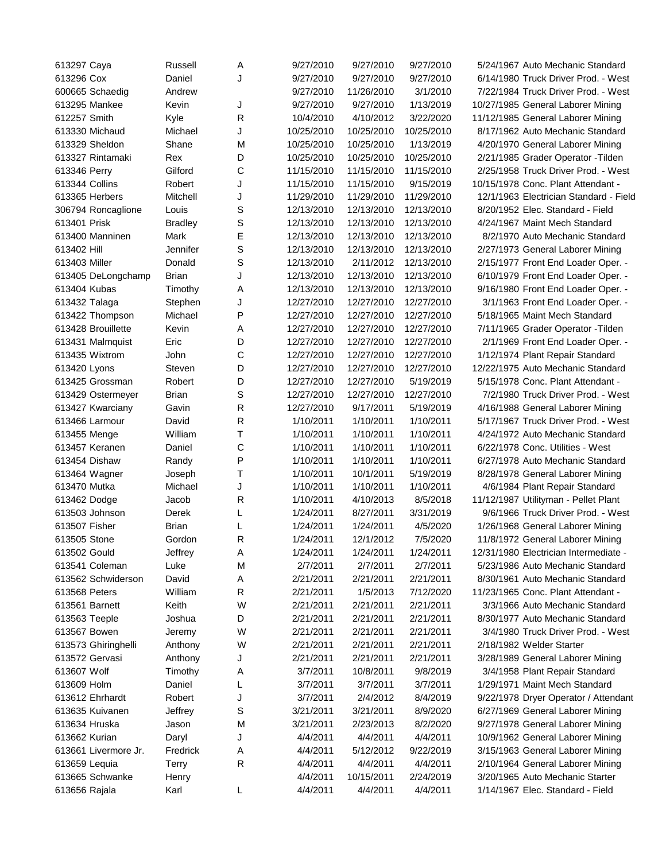| 613297 Caya          | Russell        | Α            | 9/27/2010  | 9/27/2010  | 9/27/2010  | 5/24/1967 Auto Mechanic Standard       |
|----------------------|----------------|--------------|------------|------------|------------|----------------------------------------|
| 613296 Cox           | Daniel         | J            | 9/27/2010  | 9/27/2010  | 9/27/2010  | 6/14/1980 Truck Driver Prod. - West    |
| 600665 Schaedig      | Andrew         |              | 9/27/2010  | 11/26/2010 | 3/1/2010   | 7/22/1984 Truck Driver Prod. - West    |
| 613295 Mankee        | Kevin          | J            | 9/27/2010  | 9/27/2010  | 1/13/2019  | 10/27/1985 General Laborer Mining      |
| 612257 Smith         | Kyle           | R            | 10/4/2010  | 4/10/2012  | 3/22/2020  | 11/12/1985 General Laborer Mining      |
| 613330 Michaud       | Michael        | J            | 10/25/2010 | 10/25/2010 | 10/25/2010 | 8/17/1962 Auto Mechanic Standard       |
| 613329 Sheldon       | Shane          | M            | 10/25/2010 | 10/25/2010 | 1/13/2019  | 4/20/1970 General Laborer Mining       |
| 613327 Rintamaki     | Rex            | D            | 10/25/2010 | 10/25/2010 | 10/25/2010 | 2/21/1985 Grader Operator - Tilden     |
| 613346 Perry         | Gilford        | $\mathsf C$  | 11/15/2010 | 11/15/2010 | 11/15/2010 | 2/25/1958 Truck Driver Prod. - West    |
| 613344 Collins       | Robert         | J            | 11/15/2010 | 11/15/2010 | 9/15/2019  | 10/15/1978 Conc. Plant Attendant -     |
| 613365 Herbers       | Mitchell       | J            | 11/29/2010 | 11/29/2010 | 11/29/2010 | 12/1/1963 Electrician Standard - Field |
| 306794 Roncaglione   | Louis          | S            | 12/13/2010 | 12/13/2010 | 12/13/2010 | 8/20/1952 Elec. Standard - Field       |
| 613401 Prisk         | <b>Bradley</b> | S            | 12/13/2010 | 12/13/2010 | 12/13/2010 | 4/24/1967 Maint Mech Standard          |
| 613400 Manninen      | Mark           | E            | 12/13/2010 | 12/13/2010 | 12/13/2010 | 8/2/1970 Auto Mechanic Standard        |
| 613402 Hill          | Jennifer       | $\mathsf S$  | 12/13/2010 | 12/13/2010 | 12/13/2010 | 2/27/1973 General Laborer Mining       |
| 613403 Miller        | Donald         | S            | 12/13/2010 | 2/11/2012  | 12/13/2010 | 2/15/1977 Front End Loader Oper. -     |
| 613405 DeLongchamp   | Brian          | J            | 12/13/2010 | 12/13/2010 | 12/13/2010 | 6/10/1979 Front End Loader Oper. -     |
| 613404 Kubas         | Timothy        | Α            | 12/13/2010 | 12/13/2010 | 12/13/2010 | 9/16/1980 Front End Loader Oper. -     |
| 613432 Talaga        | Stephen        | J            | 12/27/2010 | 12/27/2010 | 12/27/2010 | 3/1/1963 Front End Loader Oper. -      |
| 613422 Thompson      | Michael        | P            | 12/27/2010 | 12/27/2010 | 12/27/2010 | 5/18/1965 Maint Mech Standard          |
| 613428 Brouillette   | Kevin          | Α            | 12/27/2010 | 12/27/2010 | 12/27/2010 | 7/11/1965 Grader Operator - Tilden     |
| 613431 Malmquist     | Eric           | D            | 12/27/2010 | 12/27/2010 | 12/27/2010 | 2/1/1969 Front End Loader Oper. -      |
| 613435 Wixtrom       | John           | C            | 12/27/2010 | 12/27/2010 | 12/27/2010 | 1/12/1974 Plant Repair Standard        |
|                      |                | D            | 12/27/2010 | 12/27/2010 | 12/27/2010 | 12/22/1975 Auto Mechanic Standard      |
| 613420 Lyons         | Steven         |              |            |            |            |                                        |
| 613425 Grossman      | Robert         | D            | 12/27/2010 | 12/27/2010 | 5/19/2019  | 5/15/1978 Conc. Plant Attendant -      |
| 613429 Ostermeyer    | Brian          | S            | 12/27/2010 | 12/27/2010 | 12/27/2010 | 7/2/1980 Truck Driver Prod. - West     |
| 613427 Kwarciany     | Gavin          | R            | 12/27/2010 | 9/17/2011  | 5/19/2019  | 4/16/1988 General Laborer Mining       |
| 613466 Larmour       | David          | R            | 1/10/2011  | 1/10/2011  | 1/10/2011  | 5/17/1967 Truck Driver Prod. - West    |
| 613455 Menge         | William        | T            | 1/10/2011  | 1/10/2011  | 1/10/2011  | 4/24/1972 Auto Mechanic Standard       |
| 613457 Keranen       | Daniel         | C            | 1/10/2011  | 1/10/2011  | 1/10/2011  | 6/22/1978 Conc. Utilities - West       |
| 613454 Dishaw        | Randy          | P            | 1/10/2011  | 1/10/2011  | 1/10/2011  | 6/27/1978 Auto Mechanic Standard       |
| 613464 Wagner        | Joseph         | T            | 1/10/2011  | 10/1/2011  | 5/19/2019  | 8/28/1978 General Laborer Mining       |
| 613470 Mutka         | Michael        | J            | 1/10/2011  | 1/10/2011  | 1/10/2011  | 4/6/1984 Plant Repair Standard         |
| 613462 Dodge         | Jacob          | $\mathsf{R}$ | 1/10/2011  | 4/10/2013  | 8/5/2018   | 11/12/1987 Utilityman - Pellet Plant   |
| 613503 Johnson       | Derek          | L            | 1/24/2011  | 8/27/2011  | 3/31/2019  | 9/6/1966 Truck Driver Prod. - West     |
| 613507 Fisher        | <b>Brian</b>   | L            | 1/24/2011  | 1/24/2011  | 4/5/2020   | 1/26/1968 General Laborer Mining       |
| 613505 Stone         | Gordon         | $\mathsf{R}$ | 1/24/2011  | 12/1/2012  | 7/5/2020   | 11/8/1972 General Laborer Mining       |
| 613502 Gould         | Jeffrey        | A            | 1/24/2011  | 1/24/2011  | 1/24/2011  | 12/31/1980 Electrician Intermediate -  |
| 613541 Coleman       | Luke           | M            | 2/7/2011   | 2/7/2011   | 2/7/2011   | 5/23/1986 Auto Mechanic Standard       |
| 613562 Schwiderson   | David          | A            | 2/21/2011  | 2/21/2011  | 2/21/2011  | 8/30/1961 Auto Mechanic Standard       |
| 613568 Peters        | William        | $\mathsf{R}$ | 2/21/2011  | 1/5/2013   | 7/12/2020  | 11/23/1965 Conc. Plant Attendant -     |
| 613561 Barnett       | Keith          | W            | 2/21/2011  | 2/21/2011  | 2/21/2011  | 3/3/1966 Auto Mechanic Standard        |
| 613563 Teeple        | Joshua         | D            | 2/21/2011  | 2/21/2011  | 2/21/2011  | 8/30/1977 Auto Mechanic Standard       |
| 613567 Bowen         | Jeremy         | W            | 2/21/2011  | 2/21/2011  | 2/21/2011  | 3/4/1980 Truck Driver Prod. - West     |
| 613573 Ghiringhelli  | Anthony        | W            | 2/21/2011  | 2/21/2011  | 2/21/2011  | 2/18/1982 Welder Starter               |
| 613572 Gervasi       | Anthony        | J            | 2/21/2011  | 2/21/2011  | 2/21/2011  | 3/28/1989 General Laborer Mining       |
| 613607 Wolf          | Timothy        | A            | 3/7/2011   | 10/8/2011  | 9/8/2019   | 3/4/1958 Plant Repair Standard         |
| 613609 Holm          | Daniel         | L            | 3/7/2011   | 3/7/2011   | 3/7/2011   | 1/29/1971 Maint Mech Standard          |
| 613612 Ehrhardt      | Robert         | J            | 3/7/2011   | 2/4/2012   | 8/4/2019   | 9/22/1978 Dryer Operator / Attendant   |
| 613635 Kuivanen      | Jeffrey        | S            | 3/21/2011  | 3/21/2011  | 8/9/2020   | 6/27/1969 General Laborer Mining       |
| 613634 Hruska        | Jason          | M            | 3/21/2011  | 2/23/2013  | 8/2/2020   | 9/27/1978 General Laborer Mining       |
| 613662 Kurian        | Daryl          | J            | 4/4/2011   | 4/4/2011   | 4/4/2011   | 10/9/1962 General Laborer Mining       |
| 613661 Livermore Jr. | Fredrick       | Α            | 4/4/2011   | 5/12/2012  | 9/22/2019  | 3/15/1963 General Laborer Mining       |
| 613659 Lequia        | Terry          | R            | 4/4/2011   | 4/4/2011   | 4/4/2011   | 2/10/1964 General Laborer Mining       |
| 613665 Schwanke      | Henry          |              | 4/4/2011   | 10/15/2011 | 2/24/2019  | 3/20/1965 Auto Mechanic Starter        |
| 613656 Rajala        | Karl           | L            | 4/4/2011   | 4/4/2011   | 4/4/2011   | 1/14/1967 Elec. Standard - Field       |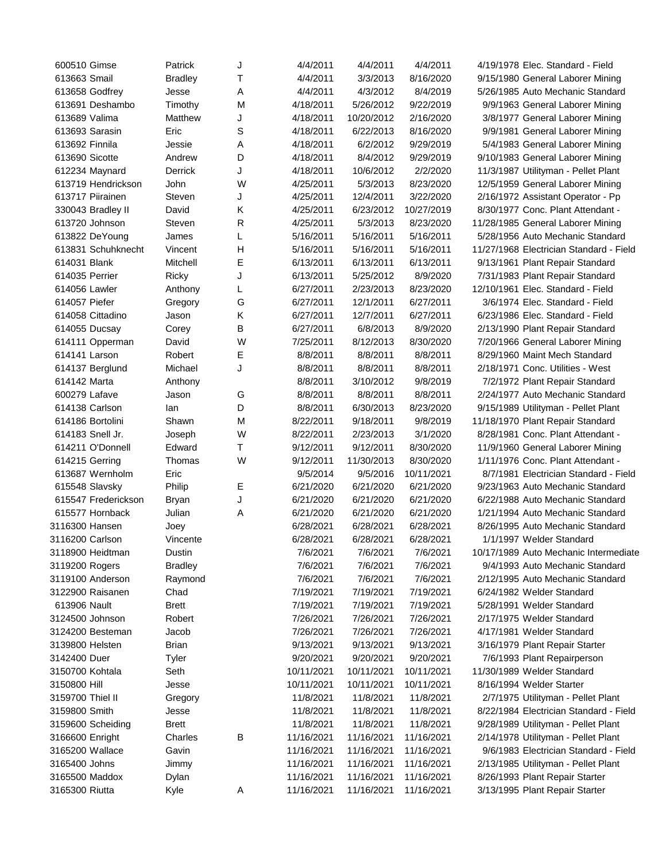| 600510 Gimse        | Patrick               | J            | 4/4/2011   | 4/4/2011               | 4/4/2011               | 4/19/1978 Elec. Standard - Field        |
|---------------------|-----------------------|--------------|------------|------------------------|------------------------|-----------------------------------------|
| 613663 Smail        | <b>Bradley</b>        | Т            | 4/4/2011   | 3/3/2013               | 8/16/2020              | 9/15/1980 General Laborer Mining        |
| 613658 Godfrey      | Jesse                 | Α            | 4/4/2011   | 4/3/2012               | 8/4/2019               | 5/26/1985 Auto Mechanic Standard        |
| 613691 Deshambo     | Timothy               | M            | 4/18/2011  | 5/26/2012              | 9/22/2019              | 9/9/1963 General Laborer Mining         |
| 613689 Valima       | Matthew               | J            | 4/18/2011  | 10/20/2012             | 2/16/2020              | 3/8/1977 General Laborer Mining         |
| 613693 Sarasin      | Eric                  | S            | 4/18/2011  | 6/22/2013              | 8/16/2020              | 9/9/1981 General Laborer Mining         |
| 613692 Finnila      | Jessie                | Α            | 4/18/2011  | 6/2/2012               | 9/29/2019              | 5/4/1983 General Laborer Mining         |
| 613690 Sicotte      | Andrew                | D            | 4/18/2011  | 8/4/2012               | 9/29/2019              | 9/10/1983 General Laborer Mining        |
| 612234 Maynard      | <b>Derrick</b>        | J            | 4/18/2011  | 10/6/2012              | 2/2/2020               | 11/3/1987 Utilityman - Pellet Plant     |
| 613719 Hendrickson  | John                  | W            | 4/25/2011  | 5/3/2013               | 8/23/2020              | 12/5/1959 General Laborer Mining        |
| 613717 Piirainen    | Steven                | J            | 4/25/2011  | 12/4/2011              | 3/22/2020              | 2/16/1972 Assistant Operator - Pp       |
| 330043 Bradley II   | David                 | Κ            | 4/25/2011  | 6/23/2012              | 10/27/2019             | 8/30/1977 Conc. Plant Attendant -       |
| 613720 Johnson      | Steven                | $\mathsf{R}$ | 4/25/2011  | 5/3/2013               | 8/23/2020              | 11/28/1985 General Laborer Mining       |
| 613822 DeYoung      | James                 | L            | 5/16/2011  | 5/16/2011              | 5/16/2011              | 5/28/1956 Auto Mechanic Standard        |
| 613831 Schuhknecht  | Vincent               | Н            | 5/16/2011  | 5/16/2011              | 5/16/2011              | 11/27/1968 Electrician Standard - Field |
| 614031 Blank        | Mitchell              | Е            | 6/13/2011  | 6/13/2011              | 6/13/2011              | 9/13/1961 Plant Repair Standard         |
| 614035 Perrier      | Ricky                 | J            | 6/13/2011  | 5/25/2012              | 8/9/2020               | 7/31/1983 Plant Repair Standard         |
| 614056 Lawler       | Anthony               | L            | 6/27/2011  | 2/23/2013              | 8/23/2020              | 12/10/1961 Elec. Standard - Field       |
| 614057 Piefer       | Gregory               | G            | 6/27/2011  | 12/1/2011              | 6/27/2011              | 3/6/1974 Elec. Standard - Field         |
| 614058 Cittadino    | Jason                 | Κ            | 6/27/2011  | 12/7/2011              | 6/27/2011              | 6/23/1986 Elec. Standard - Field        |
| 614055 Ducsay       | Corey                 | В            | 6/27/2011  | 6/8/2013               | 8/9/2020               | 2/13/1990 Plant Repair Standard         |
| 614111 Opperman     | David                 | W            | 7/25/2011  | 8/12/2013              | 8/30/2020              | 7/20/1966 General Laborer Mining        |
| 614141 Larson       | Robert                | Ε            | 8/8/2011   | 8/8/2011               | 8/8/2011               | 8/29/1960 Maint Mech Standard           |
| 614137 Berglund     | Michael               | J            | 8/8/2011   | 8/8/2011               | 8/8/2011               | 2/18/1971 Conc. Utilities - West        |
| 614142 Marta        | Anthony               |              | 8/8/2011   | 3/10/2012              | 9/8/2019               | 7/2/1972 Plant Repair Standard          |
| 600279 Lafave       | Jason                 | G            | 8/8/2011   | 8/8/2011               | 8/8/2011               | 2/24/1977 Auto Mechanic Standard        |
| 614138 Carlson      | lan                   | D            | 8/8/2011   | 6/30/2013              | 8/23/2020              | 9/15/1989 Utilityman - Pellet Plant     |
| 614186 Bortolini    | Shawn                 | M            | 8/22/2011  | 9/18/2011              | 9/8/2019               | 11/18/1970 Plant Repair Standard        |
| 614183 Snell Jr.    | Joseph                | W            | 8/22/2011  | 2/23/2013              | 3/1/2020               | 8/28/1981 Conc. Plant Attendant -       |
| 614211 O'Donnell    | Edward                | Т            | 9/12/2011  | 9/12/2011              | 8/30/2020              | 11/9/1960 General Laborer Mining        |
| 614215 Gerring      | Thomas                | W            | 9/12/2011  | 11/30/2013             | 8/30/2020              | 1/11/1976 Conc. Plant Attendant -       |
| 613687 Wernholm     | Eric                  |              | 9/5/2014   | 9/5/2016               | 10/11/2021             | 8/7/1981 Electrician Standard - Field   |
| 615548 Slavsky      | Philip                | Ε            | 6/21/2020  | 6/21/2020              | 6/21/2020              | 9/23/1963 Auto Mechanic Standard        |
| 615547 Frederickson | Bryan                 | J            | 6/21/2020  | 6/21/2020              | 6/21/2020              | 6/22/1988 Auto Mechanic Standard        |
| 615577 Hornback     | Julian                | Α            | 6/21/2020  | 6/21/2020              | 6/21/2020              | 1/21/1994 Auto Mechanic Standard        |
| 3116300 Hansen      | Joey                  |              | 6/28/2021  | 6/28/2021              | 6/28/2021              | 8/26/1995 Auto Mechanic Standard        |
| 3116200 Carlson     | Vincente              |              | 6/28/2021  | 6/28/2021              | 6/28/2021              | 1/1/1997 Welder Standard                |
| 3118900 Heidtman    | Dustin                |              | 7/6/2021   | 7/6/2021               | 7/6/2021               | 10/17/1989 Auto Mechanic Intermediate   |
| 3119200 Rogers      | <b>Bradley</b>        |              | 7/6/2021   | 7/6/2021               | 7/6/2021               | 9/4/1993 Auto Mechanic Standard         |
| 3119100 Anderson    | Raymond               |              | 7/6/2021   | 7/6/2021               | 7/6/2021               | 2/12/1995 Auto Mechanic Standard        |
| 3122900 Raisanen    | Chad                  |              | 7/19/2021  | 7/19/2021              | 7/19/2021              | 6/24/1982 Welder Standard               |
| 613906 Nault        | <b>Brett</b>          |              | 7/19/2021  | 7/19/2021              | 7/19/2021              | 5/28/1991 Welder Standard               |
| 3124500 Johnson     | Robert                |              | 7/26/2021  | 7/26/2021              | 7/26/2021              | 2/17/1975 Welder Standard               |
| 3124200 Besteman    | Jacob                 |              | 7/26/2021  | 7/26/2021              | 7/26/2021              | 4/17/1981 Welder Standard               |
| 3139800 Helsten     | Brian                 |              | 9/13/2021  | 9/13/2021              | 9/13/2021              | 3/16/1979 Plant Repair Starter          |
| 3142400 Duer        | Tyler                 |              | 9/20/2021  | 9/20/2021              | 9/20/2021              | 7/6/1993 Plant Repairperson             |
| 3150700 Kohtala     | Seth                  |              | 10/11/2021 | 10/11/2021             | 10/11/2021             | 11/30/1989 Welder Standard              |
| 3150800 Hill        | Jesse                 |              | 10/11/2021 | 10/11/2021             | 10/11/2021             | 8/16/1994 Welder Starter                |
| 3159700 Thiel II    |                       |              | 11/8/2021  | 11/8/2021              | 11/8/2021              | 2/7/1975 Utilityman - Pellet Plant      |
|                     | Gregory               |              |            |                        |                        |                                         |
| 3159800 Smith       | Jesse<br><b>Brett</b> |              | 11/8/2021  | 11/8/2021<br>11/8/2021 | 11/8/2021<br>11/8/2021 | 8/22/1984 Electrician Standard - Field  |
| 3159600 Scheiding   |                       |              | 11/8/2021  |                        |                        | 9/28/1989 Utilityman - Pellet Plant     |
| 3166600 Enright     | Charles               | В            | 11/16/2021 | 11/16/2021             | 11/16/2021             | 2/14/1978 Utilityman - Pellet Plant     |
| 3165200 Wallace     | Gavin                 |              | 11/16/2021 | 11/16/2021             | 11/16/2021             | 9/6/1983 Electrician Standard - Field   |
| 3165400 Johns       | Jimmy                 |              | 11/16/2021 | 11/16/2021             | 11/16/2021             | 2/13/1985 Utilityman - Pellet Plant     |
| 3165500 Maddox      | Dylan                 |              | 11/16/2021 | 11/16/2021             | 11/16/2021             | 8/26/1993 Plant Repair Starter          |
| 3165300 Riutta      | Kyle                  | A            | 11/16/2021 | 11/16/2021             | 11/16/2021             | 3/13/1995 Plant Repair Starter          |